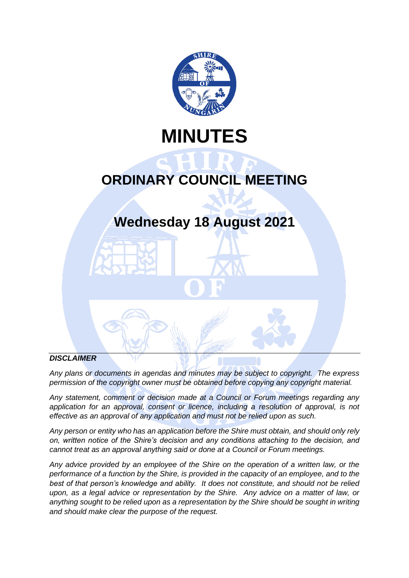

# **MINUTES**

# **ORDINARY COUNCIL MEETING**

# **Wednesday 18 August 2021**

## *DISCLAIMER*

*Any plans or documents in agendas and minutes may be subject to copyright. The express*  permission of the copyright owner must be obtained before copying any copyright material.

*Any statement, comment or decision made at a Council or Forum meetings regarding any*  application for an approval, consent or licence, including a resolution of approval, is not *effective as an approval of any application and must not be relied upon as such.*

*Any person or entity who has an application before the Shire must obtain, and should only rely on, written notice of the Shire's decision and any conditions attaching to the decision, and cannot treat as an approval anything said or done at a Council or Forum meetings.*

*Any advice provided by an employee of the Shire on the operation of a written law, or the performance of a function by the Shire, is provided in the capacity of an employee, and to the best of that person's knowledge and ability. It does not constitute, and should not be relied upon, as a legal advice or representation by the Shire. Any advice on a matter of law, or anything sought to be relied upon as a representation by the Shire should be sought in writing and should make clear the purpose of the request.*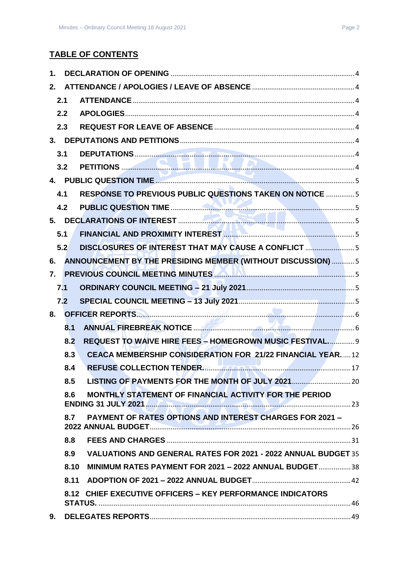## **TABLE OF CONTENTS**

| 1.               |      |                                                                           |  |
|------------------|------|---------------------------------------------------------------------------|--|
| 2.               |      |                                                                           |  |
|                  | 2.1  |                                                                           |  |
|                  | 2.2  |                                                                           |  |
|                  | 2.3  |                                                                           |  |
|                  |      |                                                                           |  |
|                  | 3.1  |                                                                           |  |
|                  | 3.2  |                                                                           |  |
|                  |      |                                                                           |  |
|                  | 4.1  | RESPONSE TO PREVIOUS PUBLIC QUESTIONS TAKEN ON NOTICE  5                  |  |
|                  | 4.2  |                                                                           |  |
|                  |      |                                                                           |  |
|                  | 5.1  |                                                                           |  |
|                  | 5.2  | DISCLOSURES OF INTEREST THAT MAY CAUSE A CONFLICT                         |  |
| 6.               |      | ANNOUNCEMENT BY THE PRESIDING MEMBER (WITHOUT DISCUSSION)  5              |  |
| $\overline{7}$ . |      | PREVIOUS COUNCIL MEETING MINUTES <b>AND ALL AND CONTACT AND COUNCIL</b> 5 |  |
|                  | 7.1  |                                                                           |  |
|                  | 7.2  |                                                                           |  |
| 8.               |      |                                                                           |  |
|                  | 8.1  |                                                                           |  |
|                  | 8.2  | REQUEST TO WAIVE HIRE FEES - HOMEGROWN MUSIC FESTIVAL 9                   |  |
|                  | 8.3  | <b>CEACA MEMBERSHIP CONSIDERATION FOR 21/22 FINANCIAL YEAR.</b> 12        |  |
|                  | 8.4  | REFUSE COLLECTION TENDER.                                                 |  |
|                  | 8.5  |                                                                           |  |
|                  | 8.6  | MONTHLY STATEMENT OF FINANCIAL ACTIVITY FOR THE PERIOD                    |  |
|                  | 8.7  | <b>PAYMENT OF RATES OPTIONS AND INTEREST CHARGES FOR 2021 -</b>           |  |
|                  | 8.8  |                                                                           |  |
|                  | 8.9  | <b>VALUATIONS AND GENERAL RATES FOR 2021 - 2022 ANNUAL BUDGET 35</b>      |  |
|                  | 8.10 | MINIMUM RATES PAYMENT FOR 2021 - 2022 ANNUAL BUDGET 38                    |  |
|                  | 8.11 |                                                                           |  |
|                  |      | 8.12 CHIEF EXECUTIVE OFFICERS - KEY PERFORMANCE INDICATORS                |  |
| 9.               |      |                                                                           |  |
|                  |      |                                                                           |  |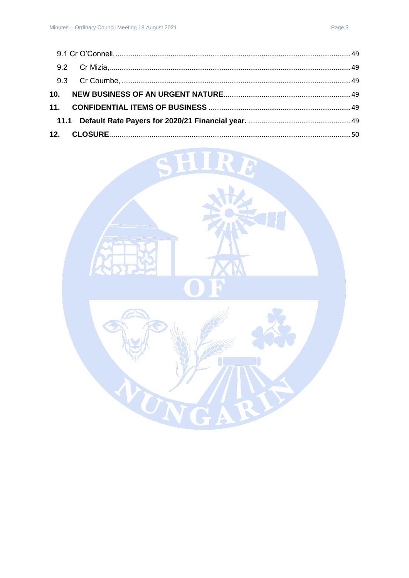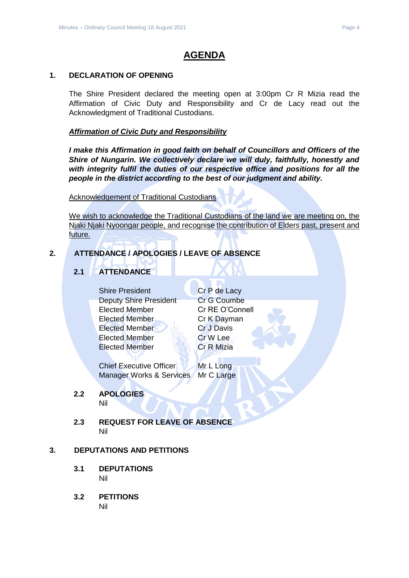## **AGENDA**

#### <span id="page-3-0"></span>**1. DECLARATION OF OPENING**

The Shire President declared the meeting open at 3:00pm Cr R Mizia read the Affirmation of Civic Duty and Responsibility and Cr de Lacy read out the Acknowledgment of Traditional Custodians.

## *Affirmation of Civic Duty and Responsibility*

*I make this Affirmation in good faith on behalf of Councillors and Officers of the Shire of Nungarin. We collectively declare we will duly, faithfully, honestly and with integrity fulfil the duties of our respective office and positions for all the people in the district according to the best of our judgment and ability.*

#### Acknowledgement of Traditional Custodians

We wish to acknowledge the Traditional Custodians of the land we are meeting on, the Njaki Njaki Nyoongar people, and recognise the contribution of Elders past, present and future.

## <span id="page-3-2"></span><span id="page-3-1"></span>**2. ATTENDANCE / APOLOGIES / LEAVE OF ABSENCE**

## **2.1 ATTENDANCE**

Shire President Cr P de Lacy Deputy Shire President Cr G Coumbe Elected Member Cr RE O'Connell Elected Member Cr K Dayman Elected Member Cr J Davis Elected Member New Cr W Lee Elected Member Cr R Mizia

Chief Executive Officer Mr L Long Manager Works & Services Mr C Large

# <span id="page-3-3"></span>**2.2 APOLOGIES**

Nil

<span id="page-3-4"></span>**2.3 REQUEST FOR LEAVE OF ABSENCE** Nil

## <span id="page-3-6"></span><span id="page-3-5"></span>**3. DEPUTATIONS AND PETITIONS**

- **3.1 DEPUTATIONS** Nil
- <span id="page-3-7"></span>**3.2 PETITIONS** Nil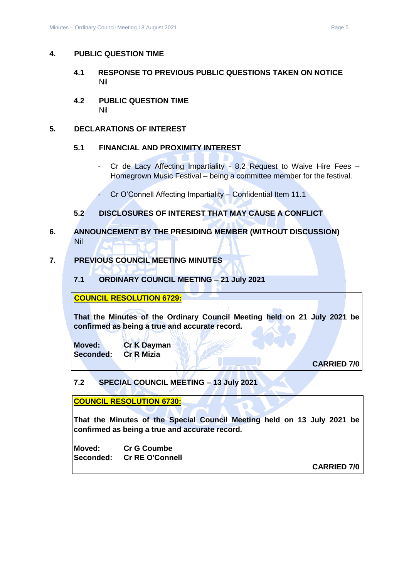#### <span id="page-4-1"></span><span id="page-4-0"></span>**4. PUBLIC QUESTION TIME**

- **4.1 RESPONSE TO PREVIOUS PUBLIC QUESTIONS TAKEN ON NOTICE** Nil
- <span id="page-4-2"></span>**4.2 PUBLIC QUESTION TIME** Nil

#### <span id="page-4-4"></span><span id="page-4-3"></span>**5. DECLARATIONS OF INTEREST**

#### **5.1 FINANCIAL AND PROXIMITY INTEREST**

- Cr de Lacy Affecting Impartiality 8.2 Request to Waive Hire Fees Homegrown Music Festival – being a committee member for the festival.
- Cr O'Connell Affecting Impartiality Confidential Item 11.1

## **5.2 DISCLOSURES OF INTEREST THAT MAY CAUSE A CONFLICT**

<span id="page-4-6"></span><span id="page-4-5"></span>**6. ANNOUNCEMENT BY THE PRESIDING MEMBER (WITHOUT DISCUSSION)** Nil

## <span id="page-4-8"></span><span id="page-4-7"></span>**7. PREVIOUS COUNCIL MEETING MINUTES**

**7.1 ORDINARY COUNCIL MEETING – 21 July 2021**

#### **COUNCIL RESOLUTION 6729:**

**That the Minutes of the Ordinary Council Meeting held on 21 July 2021 be confirmed as being a true and accurate record.**

**Moved: Cr K Dayman Seconded: Cr R Mizia**

**CARRIED 7/0**

## <span id="page-4-9"></span>**7.2 SPECIAL COUNCIL MEETING – 13 July 2021**

**COUNCIL RESOLUTION 6730:**

**That the Minutes of the Special Council Meeting held on 13 July 2021 be confirmed as being a true and accurate record.**

**Moved: Cr G Coumbe Seconded: Cr RE O'Connell**

**CARRIED 7/0**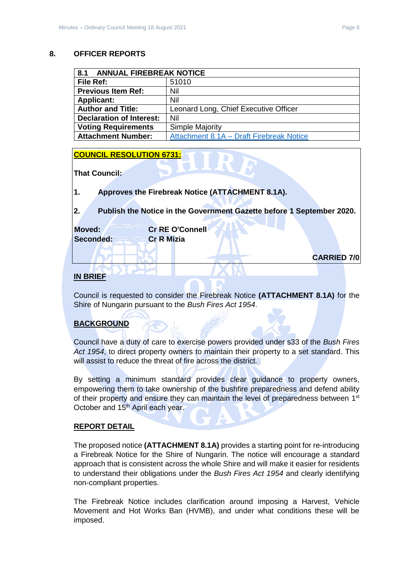#### <span id="page-5-0"></span>**8. OFFICER REPORTS**

<span id="page-5-1"></span>

| <b>ANNUAL FIREBREAK NOTICE</b><br>8.1 |                                          |  |
|---------------------------------------|------------------------------------------|--|
| File Ref:                             | 51010                                    |  |
| <b>Previous Item Ref:</b>             | Nil                                      |  |
| <b>Applicant:</b>                     | Nil                                      |  |
| <b>Author and Title:</b>              | Leonard Long, Chief Executive Officer    |  |
| <b>Declaration of Interest:</b>       | Nil                                      |  |
| <b>Voting Requirements</b>            | Simple Majority                          |  |
| <b>Attachment Number:</b>             | Attachment 8.1A - Draft Firebreak Notice |  |

#### **COUNCIL RESOLUTION 6731:**

**That Council:**

**1. Approves the Firebreak Notice (ATTACHMENT 8.1A).**

**2. Publish the Notice in the Government Gazette before 1 September 2020.**

| Moved:    | <b>Cr RE O'Connell</b> |  |  |
|-----------|------------------------|--|--|
| Seconded: | <b>Cr R Mizia</b>      |  |  |
|           |                        |  |  |

**CARRIED 7/0**

## **IN BRIEF**

Council is requested to consider the Firebreak Notice **(ATTACHMENT 8.1A)** for the Shire of Nungarin pursuant to the *Bush Fires Act 1954*.

## **BACKGROUND**

Council have a duty of care to exercise powers provided under s33 of the *Bush Fires Act 1954*, to direct property owners to maintain their property to a set standard. This will assist to reduce the threat of fire across the district.

By setting a minimum standard provides clear guidance to property owners, empowering them to take ownership of the bushfire preparedness and defend ability of their property and ensure they can maintain the level of preparedness between 1<sup>st</sup> October and 15<sup>th</sup> April each year.

## **REPORT DETAIL**

The proposed notice **(ATTACHMENT 8.1A)** provides a starting point for re-introducing a Firebreak Notice for the Shire of Nungarin. The notice will encourage a standard approach that is consistent across the whole Shire and will make it easier for residents to understand their obligations under the *Bush Fires Act 1954* and clearly identifying non-compliant properties.

The Firebreak Notice includes clarification around imposing a Harvest, Vehicle Movement and Hot Works Ban (HVMB), and under what conditions these will be imposed.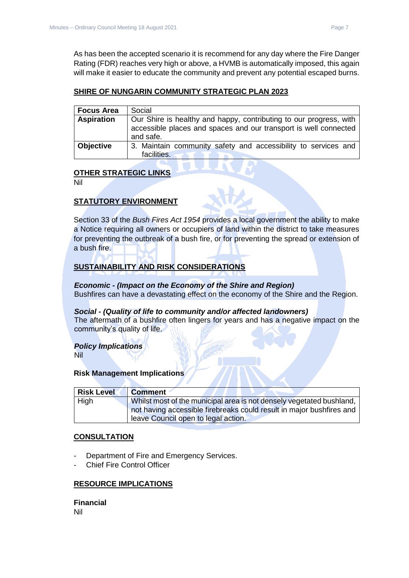As has been the accepted scenario it is recommend for any day where the Fire Danger Rating (FDR) reaches very high or above, a HVMB is automatically imposed, this again will make it easier to educate the community and prevent any potential escaped burns.

#### **SHIRE OF NUNGARIN COMMUNITY STRATEGIC PLAN 2023**

| <b>Focus Area</b> | Social                                                                                                                                              |
|-------------------|-----------------------------------------------------------------------------------------------------------------------------------------------------|
| <b>Aspiration</b> | Our Shire is healthy and happy, contributing to our progress, with<br>accessible places and spaces and our transport is well connected<br>and safe. |
| <b>Objective</b>  | 3. Maintain community safety and accessibility to services and<br>facilities.                                                                       |

## **OTHER STRATEGIC LINKS**

Nil

## **STATUTORY ENVIRONMENT**

Section 33 of the *Bush Fires Act 1954* provides a local government the ability to make a Notice requiring all owners or occupiers of land within the district to take measures for preventing the outbreak of a bush fire, or for preventing the spread or extension of a bush fire.

## **SUSTAINABILITY AND RISK CONSIDERATIONS**

*Economic - (Impact on the Economy of the Shire and Region)* Bushfires can have a devastating effect on the economy of the Shire and the Region.

#### *Social - (Quality of life to community and/or affected landowners)*

The aftermath of a bushfire often lingers for years and has a negative impact on the community's quality of life.

#### *Policy Implications*

Nil

#### **Risk Management Implications**

| <b>Risk Level</b> | <b>Comment</b>                                                       |
|-------------------|----------------------------------------------------------------------|
| High              | Whilst most of the municipal area is not densely vegetated bushland, |
|                   | not having accessible firebreaks could result in major bushfires and |
|                   | leave Council open to legal action.                                  |

#### **CONSULTATION**

- Department of Fire and Emergency Services.
- Chief Fire Control Officer

#### **RESOURCE IMPLICATIONS**

**Financial** Nil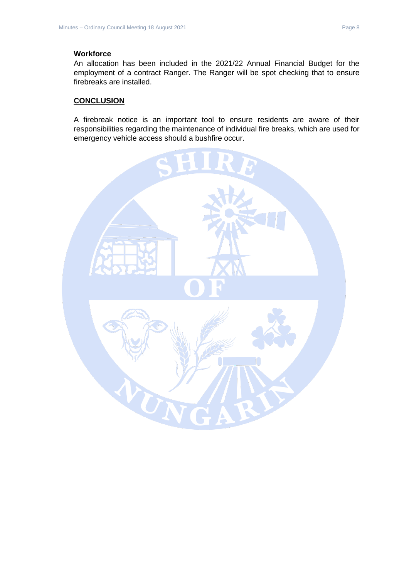## **Workforce**

An allocation has been included in the 2021/22 Annual Financial Budget for the employment of a contract Ranger. The Ranger will be spot checking that to ensure firebreaks are installed.

## **CONCLUSION**

A firebreak notice is an important tool to ensure residents are aware of their responsibilities regarding the maintenance of individual fire breaks, which are used for emergency vehicle access should a bushfire occur.

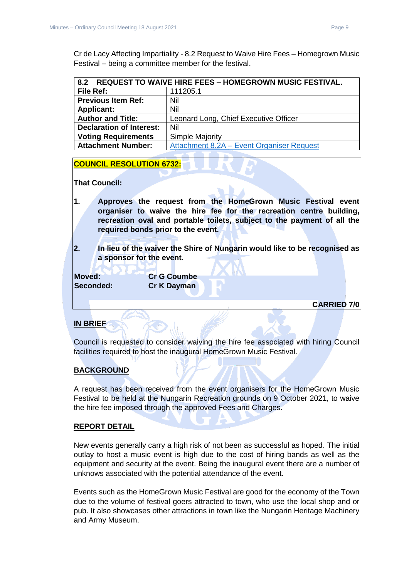Cr de Lacy Affecting Impartiality - 8.2 Request to Waive Hire Fees – Homegrown Music Festival – being a committee member for the festival.

<span id="page-8-0"></span>

| 8.2 REQUEST TO WAIVE HIRE FEES - HOMEGROWN MUSIC FESTIVAL. |                                           |  |
|------------------------------------------------------------|-------------------------------------------|--|
| File Ref:                                                  | 111205.1                                  |  |
| <b>Previous Item Ref:</b>                                  | Nil                                       |  |
| <b>Applicant:</b>                                          | Nil                                       |  |
| <b>Author and Title:</b>                                   | Leonard Long, Chief Executive Officer     |  |
| <b>Declaration of Interest:</b>                            | Nil                                       |  |
| <b>Voting Requirements</b>                                 | <b>Simple Majority</b>                    |  |
| <b>Attachment Number:</b>                                  | Attachment 8.2A - Event Organiser Request |  |

#### **COUNCIL RESOLUTION 6732:**

**That Council:**

- **1. Approves the request from the HomeGrown Music Festival event organiser to waive the hire fee for the recreation centre building, recreation oval and portable toilets, subject to the payment of all the required bonds prior to the event.**
- **2. In lieu of the waiver the Shire of Nungarin would like to be recognised as a sponsor for the event.**

**Moved: Cr G Coumbe Seconded: Cr K Dayman**

**CARRIED 7/0**

## **IN BRIEF**

Council is requested to consider waiving the hire fee associated with hiring Council facilities required to host the inaugural HomeGrown Music Festival.

## **BACKGROUND**

A request has been received from the event organisers for the HomeGrown Music Festival to be held at the Nungarin Recreation grounds on 9 October 2021, to waive the hire fee imposed through the approved Fees and Charges.

#### **REPORT DETAIL**

New events generally carry a high risk of not been as successful as hoped. The initial outlay to host a music event is high due to the cost of hiring bands as well as the equipment and security at the event. Being the inaugural event there are a number of unknows associated with the potential attendance of the event.

Events such as the HomeGrown Music Festival are good for the economy of the Town due to the volume of festival goers attracted to town, who use the local shop and or pub. It also showcases other attractions in town like the Nungarin Heritage Machinery and Army Museum.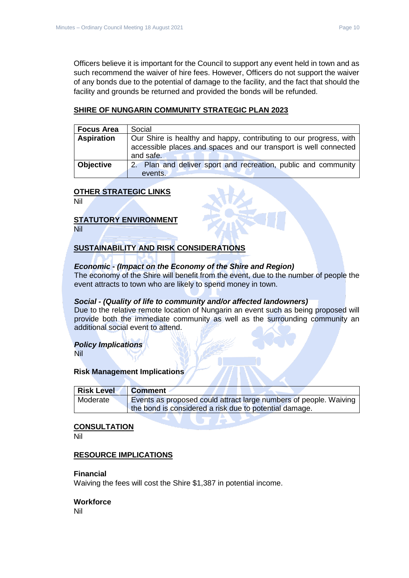Officers believe it is important for the Council to support any event held in town and as such recommend the waiver of hire fees. However, Officers do not support the waiver of any bonds due to the potential of damage to the facility, and the fact that should the facility and grounds be returned and provided the bonds will be refunded.

#### **SHIRE OF NUNGARIN COMMUNITY STRATEGIC PLAN 2023**

| <b>Focus Area</b> | Social                                                                                                                                 |
|-------------------|----------------------------------------------------------------------------------------------------------------------------------------|
| <b>Aspiration</b> | Our Shire is healthy and happy, contributing to our progress, with<br>accessible places and spaces and our transport is well connected |
|                   | and safe.                                                                                                                              |
| <b>Objective</b>  | 2. Plan and deliver sport and recreation, public and community                                                                         |
|                   | events.                                                                                                                                |

#### **OTHER STRATEGIC LINKS**

Nil

#### **STATUTORY ENVIRONMENT**

Nil

## **SUSTAINABILITY AND RISK CONSIDERATIONS**

#### *Economic - (Impact on the Economy of the Shire and Region)*

The economy of the Shire will benefit from the event, due to the number of people the event attracts to town who are likely to spend money in town.

#### *Social - (Quality of life to community and/or affected landowners)*

Due to the relative remote location of Nungarin an event such as being proposed will provide both the immediate community as well as the surrounding community an additional social event to attend.

#### *Policy Implications*

Nil

#### **Risk Management Implications**

| Risk Level | <b>Comment</b>                                                    |
|------------|-------------------------------------------------------------------|
| Moderate   | Events as proposed could attract large numbers of people. Waiving |
|            | the bond is considered a risk due to potential damage.            |

#### **CONSULTATION**

Nil

#### **RESOURCE IMPLICATIONS**

#### **Financial**

Waiving the fees will cost the Shire \$1,387 in potential income.

#### **Workforce**

Nil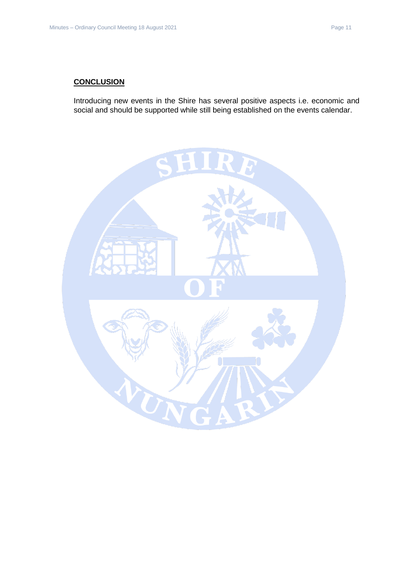## **CONCLUSION**

Introducing new events in the Shire has several positive aspects i.e. economic and social and should be supported while still being established on the events calendar.

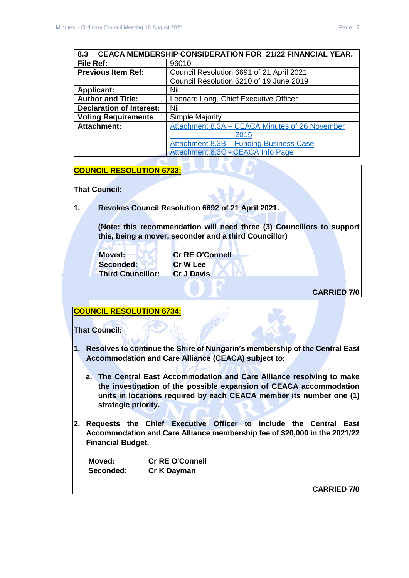<span id="page-11-0"></span>

| <b>CEACA MEMBERSHIP CONSIDERATION FOR 21/22 FINANCIAL YEAR.</b><br>8.3 |                                                |  |
|------------------------------------------------------------------------|------------------------------------------------|--|
| File Ref:                                                              | 96010                                          |  |
| <b>Previous Item Ref:</b>                                              | Council Resolution 6691 of 21 April 2021       |  |
|                                                                        | Council Resolution 6210 of 19 June 2019        |  |
| <b>Applicant:</b>                                                      | Nil                                            |  |
| <b>Author and Title:</b>                                               | Leonard Long, Chief Executive Officer          |  |
| <b>Declaration of Interest:</b>                                        | Nil                                            |  |
| <b>Voting Requirements</b>                                             | <b>Simple Majority</b>                         |  |
| <b>Attachment:</b>                                                     | Attachment 8.3A - CEACA Minutes of 26 November |  |
|                                                                        | 2015                                           |  |
|                                                                        | <b>Attachment 8.3B - Funding Business Case</b> |  |
|                                                                        | Attachment 8.3C - CEACA Info Page              |  |

#### **COUNCIL RESOLUTION 6733:**

**That Council:**

**1. Revokes Council Resolution 6692 of 21 April 2021.**

**(Note: this recommendation will need three (3) Councillors to support this, being a mover, seconder and a third Councillor)**

**Seconded: Cr W Lee Third Councillor: Cr J Davis**

**Moved: Cr RE O'Connell**

**CARRIED 7/0**

## **COUNCIL RESOLUTION 6734:**

**That Council:**

- **1. Resolves to continue the Shire of Nungarin's membership of the Central East Accommodation and Care Alliance (CEACA) subject to:**
	- **a. The Central East Accommodation and Care Alliance resolving to make the investigation of the possible expansion of CEACA accommodation units in locations required by each CEACA member its number one (1) strategic priority.**
- **2. Requests the Chief Executive Officer to include the Central East Accommodation and Care Alliance membership fee of \$20,000 in the 2021/22 Financial Budget.**

**Moved: Cr RE O'Connell Seconded: Cr K Dayman**

**CARRIED 7/0**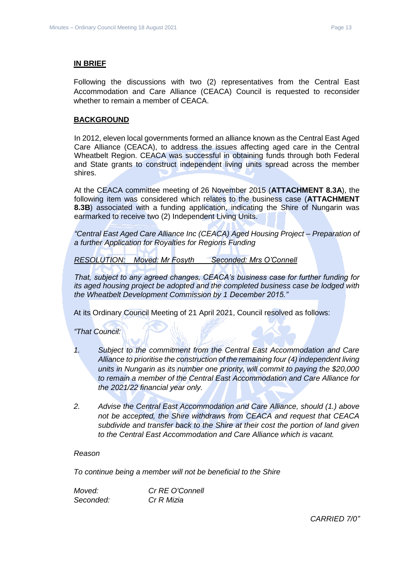#### **IN BRIEF**

Following the discussions with two (2) representatives from the Central East Accommodation and Care Alliance (CEACA) Council is requested to reconsider whether to remain a member of CEACA.

#### **BACKGROUND**

In 2012, eleven local governments formed an alliance known as the Central East Aged Care Alliance (CEACA), to address the issues affecting aged care in the Central Wheatbelt Region. CEACA was successful in obtaining funds through both Federal and State grants to construct independent living units spread across the member shires.

At the CEACA committee meeting of 26 November 2015 (**ATTACHMENT 8.3A**), the following item was considered which relates to the business case (**ATTACHMENT 8.3B**) associated with a funding application, indicating the Shire of Nungarin was earmarked to receive two (2) Independent Living Units.

*"Central East Aged Care Alliance Inc (CEACA) Aged Housing Project – Preparation of a further Application for Royalties for Regions Funding*

*RESOLUTION: Moved: Mr Fosyth Seconded: Mrs O'Connell*

*That, subject to any agreed changes, CEACA's business case for further funding for its aged housing project be adopted and the completed business case be lodged with the Wheatbelt Development Commission by 1 December 2015."*

At its Ordinary Council Meeting of 21 April 2021, Council resolved as follows:

*"That Council:*

- *1. Subject to the commitment from the Central East Accommodation and Care Alliance to prioritise the construction of the remaining four (4) independent living units in Nungarin as its number one priority, will commit to paying the \$20,000 to remain a member of the Central East Accommodation and Care Alliance for the 2021/22 financial year only.*
- *2. Advise the Central East Accommodation and Care Alliance, should (1.) above not be accepted, the Shire withdraws from CEACA and request that CEACA subdivide and transfer back to the Shire at their cost the portion of land given to the Central East Accommodation and Care Alliance which is vacant.*

#### *Reason*

*To continue being a member will not be beneficial to the Shire*

*Moved: Cr RE O'Connell Seconded: Cr R Mizia*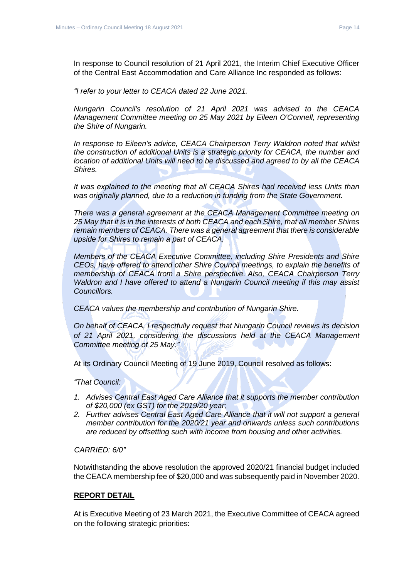In response to Council resolution of 21 April 2021, the Interim Chief Executive Officer of the Central East Accommodation and Care Alliance Inc responded as follows:

*"I refer to your letter to CEACA dated 22 June 2021.*

*Nungarin Council's resolution of 21 April 2021 was advised to the CEACA Management Committee meeting on 25 May 2021 by Eileen O'Connell, representing the Shire of Nungarin.*

*In response to Eileen's advice, CEACA Chairperson Terry Waldron noted that whilst the construction of additional Units is a strategic priority for CEACA, the number and location of additional Units will need to be discussed and agreed to by all the CEACA Shires.*

*It was explained to the meeting that all CEACA Shires had received less Units than was originally planned, due to a reduction in funding from the State Government.*

*There was a general agreement at the CEACA Management Committee meeting on 25 May that it is in the interests of both CEACA and each Shire, that all member Shires remain members of CEACA. There was a general agreement that there is considerable upside for Shires to remain a part of CEACA.*

*Members of the CEACA Executive Committee, including Shire Presidents and Shire CEOs, have offered to attend other Shire Council meetings, to explain the benefits of membership of CEACA from a Shire perspective. Also, CEACA Chairperson Terry Waldron and I have offered to attend a Nungarin Council meeting if this may assist Councillors.*

*CEACA values the membership and contribution of Nungarin Shire.*

*On behalf of CEACA, I respectfully request that Nungarin Council reviews its decision of 21 April 2021, considering the discussions held at the CEACA Management Committee meeting of 25 May."*

At its Ordinary Council Meeting of 19 June 2019, Council resolved as follows:

*"That Council:*

- *1. Advises Central East Aged Care Alliance that it supports the member contribution of \$20,000 (ex GST) for the 2019/20 year;*
- *2. Further advises Central East Aged Care Alliance that it will not support a general member contribution for the 2020/21 year and onwards unless such contributions are reduced by offsetting such with income from housing and other activities.*

*CARRIED: 6/0"*

Notwithstanding the above resolution the approved 2020/21 financial budget included the CEACA membership fee of \$20,000 and was subsequently paid in November 2020.

#### **REPORT DETAIL**

At is Executive Meeting of 23 March 2021, the Executive Committee of CEACA agreed on the following strategic priorities: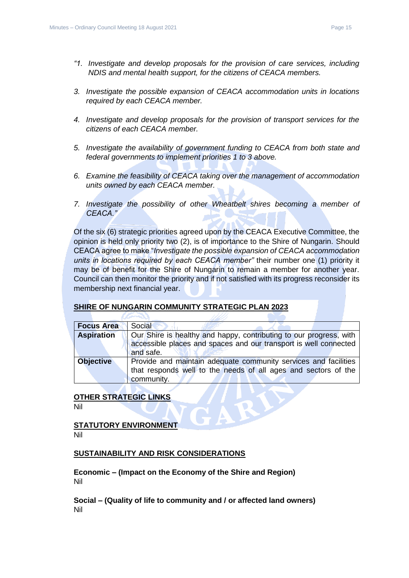- *"1. Investigate and develop proposals for the provision of care services, including NDIS and mental health support, for the citizens of CEACA members.*
- *3. Investigate the possible expansion of CEACA accommodation units in locations required by each CEACA member.*
- *4. Investigate and develop proposals for the provision of transport services for the citizens of each CEACA member.*
- *5. Investigate the availability of government funding to CEACA from both state and federal governments to implement priorities 1 to 3 above.*
- *6. Examine the feasibility of CEACA taking over the management of accommodation units owned by each CEACA member.*
- *7. Investigate the possibility of other Wheatbelt shires becoming a member of CEACA."*

Of the six (6) strategic priorities agreed upon by the CEACA Executive Committee, the opinion is held only priority two (2), is of importance to the Shire of Nungarin. Should CEACA agree to make "*Investigate the possible expansion of CEACA accommodation units in locations required by each CEACA member"* their number one (1) priority it may be of benefit for the Shire of Nungarin to remain a member for another year. Council can then monitor the priority and if not satisfied with its progress reconsider its membership next financial year.

#### **SHIRE OF NUNGARIN COMMUNITY STRATEGIC PLAN 2023**

| <b>Focus Area</b> | Social                                                                                                                                              |
|-------------------|-----------------------------------------------------------------------------------------------------------------------------------------------------|
| <b>Aspiration</b> | Our Shire is healthy and happy, contributing to our progress, with<br>accessible places and spaces and our transport is well connected<br>and safe. |
| <b>Objective</b>  | Provide and maintain adequate community services and facilities<br>that responds well to the needs of all ages and sectors of the<br>community.     |

## **OTHER STRATEGIC LINKS**

T.T.

Nil

**STATUTORY ENVIRONMENT** Nil

#### **SUSTAINABILITY AND RISK CONSIDERATIONS**

**Economic – (Impact on the Economy of the Shire and Region)** Nil

**Social – (Quality of life to community and / or affected land owners)** Nil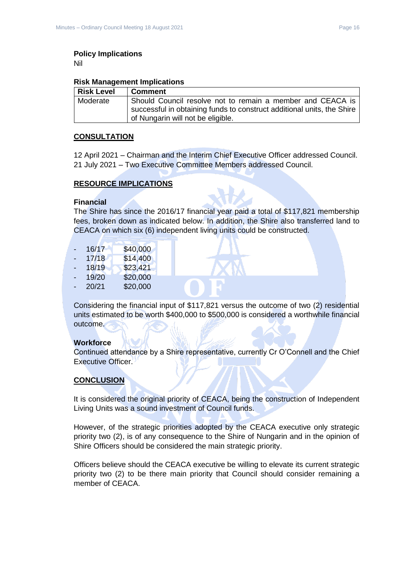Nil

#### **Risk Management Implications**

| Risk Level | <b>Comment</b>                                                                                                                       |
|------------|--------------------------------------------------------------------------------------------------------------------------------------|
| Moderate   | Should Council resolve not to remain a member and CEACA is<br>successful in obtaining funds to construct additional units, the Shire |
|            | of Nungarin will not be eligible.                                                                                                    |

#### **CONSULTATION**

12 April 2021 – Chairman and the Interim Chief Executive Officer addressed Council. 21 July 2021 – Two Executive Committee Members addressed Council.

## **RESOURCE IMPLICATIONS**

#### **Financial**

The Shire has since the 2016/17 financial year paid a total of \$117,821 membership fees, broken down as indicated below. In addition, the Shire also transferred land to CEACA on which six (6) independent living units could be constructed.

| ۰  | 16/17 | \$40,000 |
|----|-------|----------|
|    | 17/18 | \$14,400 |
| ۰. | 18/19 | \$23,421 |
| ۳  | 19/20 | \$20,000 |
| -  | 20/21 | \$20,000 |
|    |       |          |

Considering the financial input of \$117,821 versus the outcome of two (2) residential units estimated to be worth \$400,000 to \$500,000 is considered a worthwhile financial outcome.

#### **Workforce**

Continued attendance by a Shire representative, currently Cr O'Connell and the Chief Executive Officer.

## **CONCLUSION**

It is considered the original priority of CEACA, being the construction of Independent Living Units was a sound investment of Council funds.

However, of the strategic priorities adopted by the CEACA executive only strategic priority two (2), is of any consequence to the Shire of Nungarin and in the opinion of Shire Officers should be considered the main strategic priority.

Officers believe should the CEACA executive be willing to elevate its current strategic priority two (2) to be there main priority that Council should consider remaining a member of CEACA.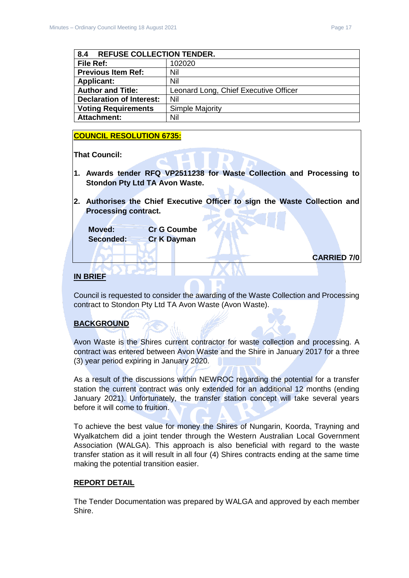<span id="page-16-0"></span>

| 8.4<br><b>REFUSE COLLECTION TENDER.</b> |                                       |
|-----------------------------------------|---------------------------------------|
| File Ref:                               | 102020                                |
| <b>Previous Item Ref:</b>               | Nil                                   |
| <b>Applicant:</b>                       | Nil                                   |
| <b>Author and Title:</b>                | Leonard Long, Chief Executive Officer |
| <b>Declaration of Interest:</b>         | Nil                                   |
| <b>Voting Requirements</b>              | <b>Simple Majority</b>                |
| <b>Attachment:</b>                      | Nil                                   |

#### **COUNCIL RESOLUTION 6735:**

**That Council:**

- **1. Awards tender RFQ VP2511238 for Waste Collection and Processing to Stondon Pty Ltd TA Avon Waste.**
- **2. Authorises the Chief Executive Officer to sign the Waste Collection and Processing contract.**

**Moved: Cr G Coumbe Seconded: Cr K Dayman**

**CARRIED 7/0**

#### **IN BRIEF**

Council is requested to consider the awarding of the Waste Collection and Processing contract to Stondon Pty Ltd TA Avon Waste (Avon Waste).

#### **BACKGROUND**

Avon Waste is the Shires current contractor for waste collection and processing. A contract was entered between Avon Waste and the Shire in January 2017 for a three (3) year period expiring in January 2020.

As a result of the discussions within NEWROC regarding the potential for a transfer station the current contract was only extended for an additional 12 months (ending January 2021). Unfortunately, the transfer station concept will take several years before it will come to fruition.

To achieve the best value for money the Shires of Nungarin, Koorda, Trayning and Wyalkatchem did a joint tender through the Western Australian Local Government Association (WALGA). This approach is also beneficial with regard to the waste transfer station as it will result in all four (4) Shires contracts ending at the same time making the potential transition easier.

#### **REPORT DETAIL**

The Tender Documentation was prepared by WALGA and approved by each member Shire.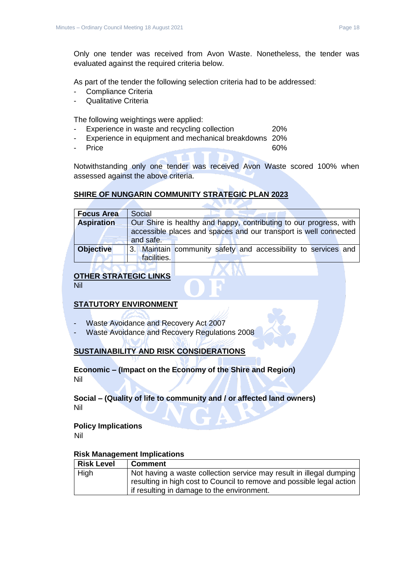Only one tender was received from Avon Waste. Nonetheless, the tender was evaluated against the required criteria below.

As part of the tender the following selection criteria had to be addressed:

- Compliance Criteria
- Qualitative Criteria

The following weightings were applied:

- Experience in waste and recycling collection 20%
- Experience in equipment and mechanical breakdowns 20%
- Price 60%

Notwithstanding only one tender was received Avon Waste scored 100% when assessed against the above criteria.

## **SHIRE OF NUNGARIN COMMUNITY STRATEGIC PLAN 2023**

| <b>Focus Area</b> | Social                                                             |  |  |
|-------------------|--------------------------------------------------------------------|--|--|
| <b>Aspiration</b> | Our Shire is healthy and happy, contributing to our progress, with |  |  |
|                   | accessible places and spaces and our transport is well connected   |  |  |
|                   | and safe.                                                          |  |  |
| <b>Objective</b>  | 3. Maintain community safety and accessibility to services and     |  |  |
|                   | facilities.                                                        |  |  |

## **OTHER STRATEGIC LINKS**

Nil

## **STATUTORY ENVIRONMENT**

- Waste Avoidance and Recovery Act 2007
- Waste Avoidance and Recovery Regulations 2008

## **SUSTAINABILITY AND RISK CONSIDERATIONS**

## **Economic – (Impact on the Economy of the Shire and Region)** Nil

#### **Social – (Quality of life to community and / or affected land owners)** Nil

#### **Policy Implications**

Nil

#### **Risk Management Implications**

| <b>Risk Level</b> | <b>Comment</b>                                                        |
|-------------------|-----------------------------------------------------------------------|
| High              | Not having a waste collection service may result in illegal dumping   |
|                   | resulting in high cost to Council to remove and possible legal action |
|                   | if resulting in damage to the environment.                            |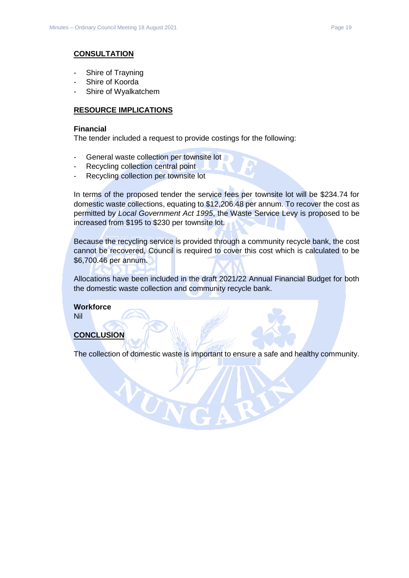#### **CONSULTATION**

- Shire of Trayning
- Shire of Koorda
- Shire of Wyalkatchem

#### **RESOURCE IMPLICATIONS**

#### **Financial**

The tender included a request to provide costings for the following:

- General waste collection per townsite lot

WUN

- Recycling collection central point
- Recycling collection per townsite lot

In terms of the proposed tender the service fees per townsite lot will be \$234.74 for domestic waste collections, equating to \$12,206.48 per annum. To recover the cost as permitted by *Local Government Act 1995*, the Waste Service Levy is proposed to be increased from \$195 to \$230 per townsite lot.

Because the recycling service is provided through a community recycle bank, the cost cannot be recovered, Council is required to cover this cost which is calculated to be \$6,700.46 per annum.

Allocations have been included in the draft 2021/22 Annual Financial Budget for both the domestic waste collection and community recycle bank.

**Workforce** Nil

#### **CONCLUSION**

The collection of domestic waste is important to ensure a safe and healthy community.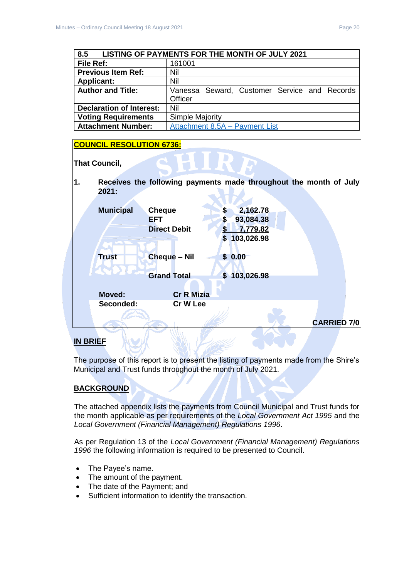<span id="page-19-0"></span>

| 8.5<br>LISTING OF PAYMENTS FOR THE MONTH OF JULY 2021 |                                              |  |
|-------------------------------------------------------|----------------------------------------------|--|
| File Ref:                                             | 161001                                       |  |
| <b>Previous Item Ref:</b>                             | Nil                                          |  |
| <b>Applicant:</b>                                     | Nil                                          |  |
| <b>Author and Title:</b>                              | Vanessa Seward, Customer Service and Records |  |
|                                                       | <b>Officer</b>                               |  |
| <b>Declaration of Interest:</b>                       | Nil                                          |  |
| <b>Voting Requirements</b>                            | <b>Simple Majority</b>                       |  |
| <b>Attachment Number:</b>                             | Attachment 8.5A - Payment List               |  |

## **COUNCIL RESOLUTION 6736:**

**That Council,** 

**1. Receives the following payments made throughout the month of July 2021:**

|                  |                             |                                  | <b>CARRIED 7/0</b> |
|------------------|-----------------------------|----------------------------------|--------------------|
| Seconded:        | Cr W Lee                    |                                  |                    |
| <b>Moved:</b>    | <b>Cr R Mizia</b>           |                                  |                    |
|                  | <b>Grand Total</b>          | 103,026.98<br>$\mathbf{s}$       |                    |
| <b>Trust</b>     | <b>Cheque - Nil</b>         | \$0.00                           |                    |
|                  |                             | \$103,026.98                     |                    |
|                  | <b>Direct Debit</b>         | 7,779.82                         |                    |
| <b>Municipal</b> | <b>Cheque</b><br><b>EFT</b> | 2,162.78<br>S<br>93,084.38<br>\$ |                    |
|                  |                             |                                  |                    |

## **IN BRIEF**

The purpose of this report is to present the listing of payments made from the Shire's Municipal and Trust funds throughout the month of July 2021.

## **BACKGROUND**

The attached appendix lists the payments from Council Municipal and Trust funds for the month applicable as per requirements of the *Local Government Act 1995* and the *Local Government (Financial Management) Regulations 1996*.

As per Regulation 13 of the *Local Government (Financial Management) Regulations 1996* the following information is required to be presented to Council.

- The Payee's name.
- The amount of the payment.
- The date of the Payment; and
- Sufficient information to identify the transaction.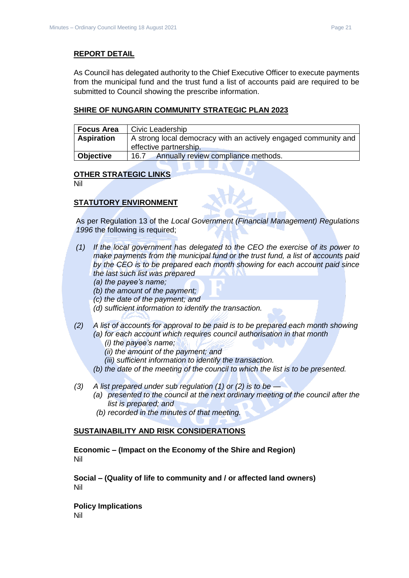#### **REPORT DETAIL**

As Council has delegated authority to the Chief Executive Officer to execute payments from the municipal fund and the trust fund a list of accounts paid are required to be submitted to Council showing the prescribe information.

#### **SHIRE OF NUNGARIN COMMUNITY STRATEGIC PLAN 2023**

| <b>Focus Area</b> | Civic Leadership                                                                          |
|-------------------|-------------------------------------------------------------------------------------------|
| <b>Aspiration</b> | A strong local democracy with an actively engaged community and<br>effective partnership. |
| Objective         | Annually review compliance methods.<br>16.7                                               |

#### **OTHER STRATEGIC LINKS**

Nil

#### **STATUTORY ENVIRONMENT**

As per Regulation 13 of the *Local Government (Financial Management) Regulations 1996* the following is required;

- *(1) If the local government has delegated to the CEO the exercise of its power to make payments from the municipal fund or the trust fund, a list of accounts paid by the CEO is to be prepared each month showing for each account paid since the last such list was prepared* 
	- *(a) the payee's name;*
	- *(b) the amount of the payment;*
	- *(c) the date of the payment; and*
	- *(d) sufficient information to identify the transaction.*
- *(2) A list of accounts for approval to be paid is to be prepared each month showing (a) for each account which requires council authorisation in that month* 
	- *(i) the payee's name;*
	- *(ii) the amount of the payment; and*
	- *(iii) sufficient information to identify the transaction.*
	- *(b) the date of the meeting of the council to which the list is to be presented.*
- *(3) A list prepared under sub regulation (1) or (2) is to be —*
	- *(a) presented to the council at the next ordinary meeting of the council after the list is prepared; and*
	- *(b) recorded in the minutes of that meeting.*

#### **SUSTAINABILITY AND RISK CONSIDERATIONS**

**Economic – (Impact on the Economy of the Shire and Region)** Nil

**Social – (Quality of life to community and / or affected land owners)** Nil

**Policy Implications** Nil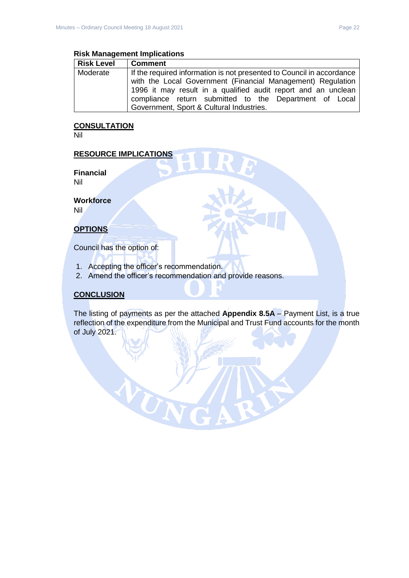#### **Risk Management Implications**

| <b>Risk Level</b> | <b>Comment</b>                                                        |
|-------------------|-----------------------------------------------------------------------|
| Moderate          | If the required information is not presented to Council in accordance |
|                   | with the Local Government (Financial Management) Regulation           |
|                   | 1996 it may result in a qualified audit report and an unclean         |
|                   | compliance return submitted to the Department of Local                |
|                   | Government, Sport & Cultural Industries.                              |

## **CONSULTATION**

Nil

#### **RESOURCE IMPLICATIONS**

**Financial** Nil

**Workforce**

Nil

## **OPTIONS**

Council has the option of:

1. Accepting the officer's recommendation.

UT

2. Amend the officer's recommendation and provide reasons.

## **CONCLUSION**

The listing of payments as per the attached **Appendix 8.5A** – Payment List, is a true reflection of the expenditure from the Municipal and Trust Fund accounts for the month of July 2021.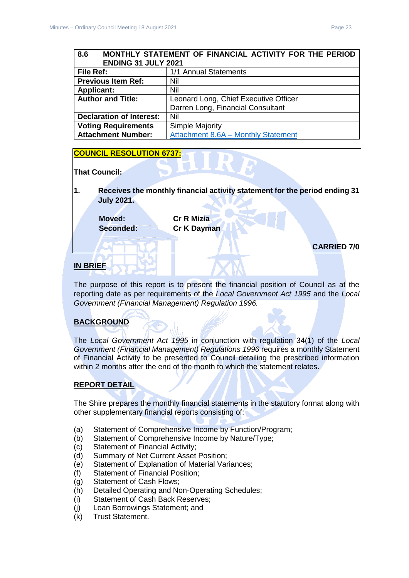## <span id="page-22-0"></span>**8.6 MONTHLY STATEMENT OF FINANCIAL ACTIVITY FOR THE PERIOD ENDING 31 JULY 2021 File Ref:** 1/1 Annual Statements

| <b>Previous Item Ref:</b>       | Nil                                   |
|---------------------------------|---------------------------------------|
| <b>Applicant:</b>               | Nil                                   |
| <b>Author and Title:</b>        | Leonard Long, Chief Executive Officer |
|                                 | Darren Long, Financial Consultant     |
| <b>Declaration of Interest:</b> | Nil                                   |
| <b>Voting Requirements</b>      | <b>Simple Majority</b>                |
| <b>Attachment Number:</b>       | Attachment 8.6A - Monthly Statement   |

## **COUNCIL RESOLUTION 6737:**

#### **That Council:**

**1. Receives the monthly financial activity statement for the period ending 31 July 2021.**

**Moved: Cr R Mizia**

**Seconded: Cr K Dayman**

**CARRIED 7/0**

## **IN BRIEF**

The purpose of this report is to present the financial position of Council as at the reporting date as per requirements of the *Local Government Act 1995* and the *Local Government (Financial Management) Regulation 1996.*

## **BACKGROUND**

The *Local Government Act 1995* in conjunction with regulation 34(1) of the *Local Government (Financial Management) Regulations 1996* requires a monthly Statement of Financial Activity to be presented to Council detailing the prescribed information within 2 months after the end of the month to which the statement relates.

#### **REPORT DETAIL**

The Shire prepares the monthly financial statements in the statutory format along with other supplementary financial reports consisting of:

- (a) Statement of Comprehensive Income by Function/Program;
- (b) Statement of Comprehensive Income by Nature/Type;
- (c) Statement of Financial Activity;
- (d) Summary of Net Current Asset Position;
- (e) Statement of Explanation of Material Variances;
- (f) Statement of Financial Position;
- (g) Statement of Cash Flows;
- (h) Detailed Operating and Non-Operating Schedules;
- (i) Statement of Cash Back Reserves;
- (j) Loan Borrowings Statement; and
- (k) Trust Statement.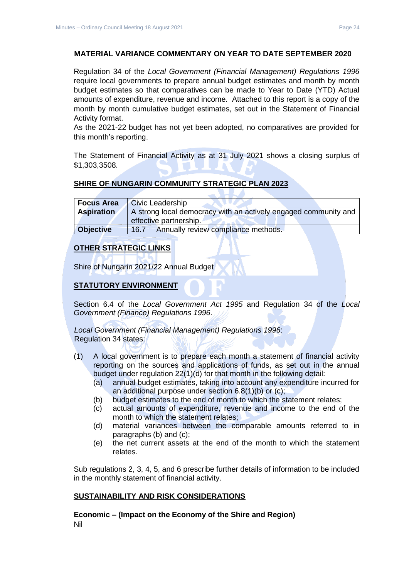#### **MATERIAL VARIANCE COMMENTARY ON YEAR TO DATE SEPTEMBER 2020**

Regulation 34 of the *Local Government (Financial Management) Regulations 1996*  require local governments to prepare annual budget estimates and month by month budget estimates so that comparatives can be made to Year to Date (YTD) Actual amounts of expenditure, revenue and income. Attached to this report is a copy of the month by month cumulative budget estimates, set out in the Statement of Financial Activity format.

As the 2021-22 budget has not yet been adopted, no comparatives are provided for this month's reporting.

The Statement of Financial Activity as at 31 July 2021 shows a closing surplus of \$1,303,3508.

#### **SHIRE OF NUNGARIN COMMUNITY STRATEGIC PLAN 2023**

| <b>Focus Area</b> | <b>Civic Leadership</b>                                         |  |
|-------------------|-----------------------------------------------------------------|--|
| <b>Aspiration</b> | A strong local democracy with an actively engaged community and |  |
|                   | effective partnership.                                          |  |
| Objective         | Annually review compliance methods.<br>16.7                     |  |

#### **OTHER STRATEGIC LINKS**

Shire of Nungarin 2021/22 Annual Budget

## **STATUTORY ENVIRONMENT**

Section 6.4 of the *Local Government Act 1995* and Regulation 34 of the *Local Government (Finance) Regulations 1996*.

*Local Government (Financial Management) Regulations 1996*: Regulation 34 states:

- (1) A local government is to prepare each month a statement of financial activity reporting on the sources and applications of funds, as set out in the annual budget under regulation 22(1)(d) for that month in the following detail:
	- (a) annual budget estimates, taking into account any expenditure incurred for an additional purpose under section 6.8(1)(b) or (c);
	- (b) budget estimates to the end of month to which the statement relates;
	- (c) actual amounts of expenditure, revenue and income to the end of the month to which the statement relates;
	- (d) material variances between the comparable amounts referred to in paragraphs (b) and (c);
	- (e) the net current assets at the end of the month to which the statement relates.

Sub regulations 2, 3, 4, 5, and 6 prescribe further details of information to be included in the monthly statement of financial activity.

#### **SUSTAINABILITY AND RISK CONSIDERATIONS**

**Economic – (Impact on the Economy of the Shire and Region)** Nil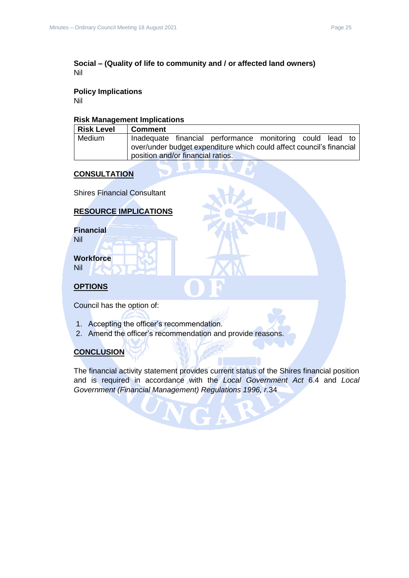#### **Social – (Quality of life to community and / or affected land owners)** Nil

## **Policy Implications**

Nil

#### **Risk Management Implications**

| <b>Risk Level</b> | Comment                                                                                                   |
|-------------------|-----------------------------------------------------------------------------------------------------------|
| Medium            | Inadequate financial performance monitoring could lead to                                                 |
|                   | over/under budget expenditure which could affect council's financial<br>position and/or financial ratios. |
|                   |                                                                                                           |

## **CONSULTATION**

Shires Financial Consultant

## **RESOURCE IMPLICATIONS**

**Financial** Nil

**Workforce**

Nil

## **OPTIONS**

Council has the option of:

- 1. Accepting the officer's recommendation.
- 2. Amend the officer's recommendation and provide reasons.

## **CONCLUSION**

The financial activity statement provides current status of the Shires financial position and is required in accordance with the *Local Government Act* 6.4 and *Local Government (Financial Management) Regulations 1996, r.*34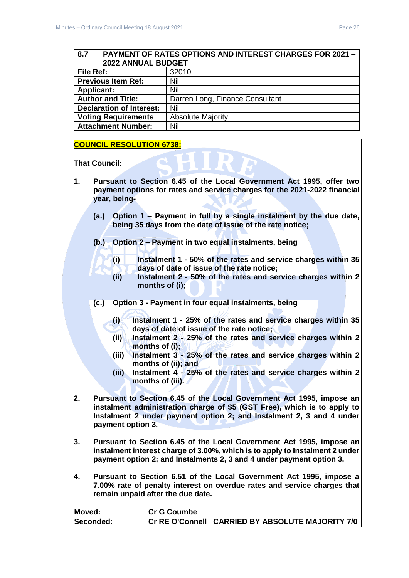## <span id="page-25-0"></span>**8.7 PAYMENT OF RATES OPTIONS AND INTEREST CHARGES FOR 2021 – 2022 ANNUAL BUDGET File Ref:** 32010

| <b>Previous Item Ref:</b>  | Nil                             |
|----------------------------|---------------------------------|
| <b>Applicant:</b>          | Nil                             |
| <b>Author and Title:</b>   | Darren Long, Finance Consultant |
| Declaration of Interest:   | Nil                             |
| <b>Voting Requirements</b> | <b>Absolute Majority</b>        |
| <b>Attachment Number:</b>  | Nil                             |

#### **COUNCIL RESOLUTION 6738:**

**That Council:** 

- **1. Pursuant to Section 6.45 of the Local Government Act 1995, offer two payment options for rates and service charges for the 2021-2022 financial year, being-**
	- **(a.) Option 1 – Payment in full by a single instalment by the due date, being 35 days from the date of issue of the rate notice;**
	- **(b.) Option 2 – Payment in two equal instalments, being** 
		- **(i) Instalment 1 - 50% of the rates and service charges within 35 days of date of issue of the rate notice;**
		- **(ii) Instalment 2 - 50% of the rates and service charges within 2 months of (i);**
	- **(c.) Option 3 - Payment in four equal instalments, being**
		- **(i) Instalment 1 - 25% of the rates and service charges within 35 days of date of issue of the rate notice;**
		- **(ii) Instalment 2 - 25% of the rates and service charges within 2 months of (i);**
		- **(iii) Instalment 3 - 25% of the rates and service charges within 2 months of (ii); and**
		- **(iii) Instalment 4 - 25% of the rates and service charges within 2 months of (iii).**
- **2. Pursuant to Section 6.45 of the Local Government Act 1995, impose an instalment administration charge of \$5 (GST Free), which is to apply to Instalment 2 under payment option 2; and Instalment 2, 3 and 4 under payment option 3.**
- **3. Pursuant to Section 6.45 of the Local Government Act 1995, impose an instalment interest charge of 3.00%, which is to apply to Instalment 2 under payment option 2; and Instalments 2, 3 and 4 under payment option 3.**
- **4. Pursuant to Section 6.51 of the Local Government Act 1995, impose a 7.00% rate of penalty interest on overdue rates and service charges that remain unpaid after the due date.**

| Moved:    | <b>Cr G Coumbe</b> |                                                  |
|-----------|--------------------|--------------------------------------------------|
| Seconded: |                    | Cr RE O'Connell CARRIED BY ABSOLUTE MAJORITY 7/0 |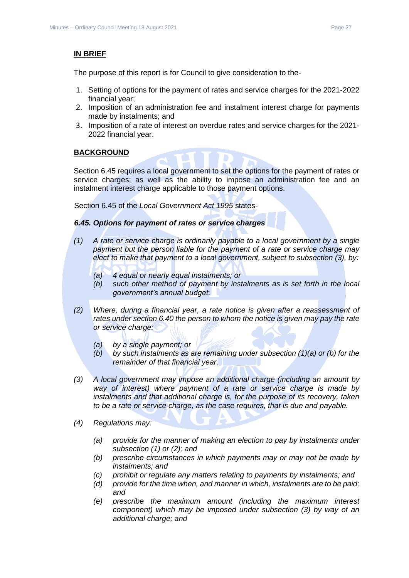#### **IN BRIEF**

The purpose of this report is for Council to give consideration to the-

- 1. Setting of options for the payment of rates and service charges for the 2021-2022 financial year;
- 2. Imposition of an administration fee and instalment interest charge for payments made by instalments; and
- 3. Imposition of a rate of interest on overdue rates and service charges for the 2021- 2022 financial year.

## **BACKGROUND**

Section 6.45 requires a local government to set the options for the payment of rates or service charges; as well as the ability to impose an administration fee and an instalment interest charge applicable to those payment options.

Section 6.45 of the *Local Government Act 1995* states-

#### *6.45. Options for payment of rates or service charges*

- *(1) A rate or service charge is ordinarily payable to a local government by a single payment but the person liable for the payment of a rate or service charge may elect to make that payment to a local government, subject to subsection (3), by:*
	- *(a) 4 equal or nearly equal instalments; or*
	- *(b) such other method of payment by instalments as is set forth in the local government's annual budget.*
- *(2) Where, during a financial year, a rate notice is given after a reassessment of rates under section 6.40 the person to whom the notice is given may pay the rate or service charge:*
	- *(a) by a single payment; or*
	- *(b) by such instalments as are remaining under subsection (1)(a) or (b) for the remainder of that financial year.*
- *(3) A local government may impose an additional charge (including an amount by way of interest) where payment of a rate or service charge is made by instalments and that additional charge is, for the purpose of its recovery, taken to be a rate or service charge, as the case requires, that is due and payable.*
- *(4) Regulations may:*
	- *(a) provide for the manner of making an election to pay by instalments under subsection (1) or (2); and*
	- *(b) prescribe circumstances in which payments may or may not be made by instalments; and*
	- *(c) prohibit or regulate any matters relating to payments by instalments; and*
	- *(d) provide for the time when, and manner in which, instalments are to be paid; and*
	- *(e) prescribe the maximum amount (including the maximum interest component) which may be imposed under subsection (3) by way of an additional charge; and*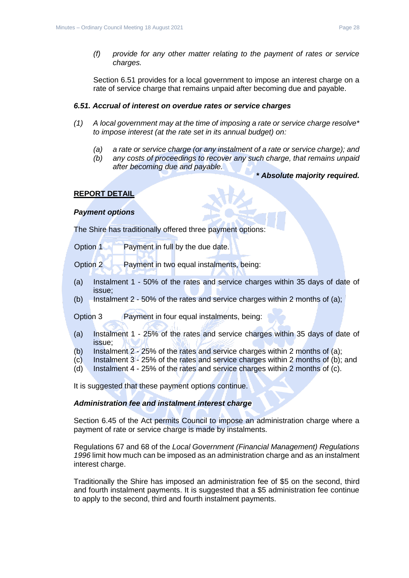*(f) provide for any other matter relating to the payment of rates or service charges.*

Section 6.51 provides for a local government to impose an interest charge on a rate of service charge that remains unpaid after becoming due and payable.

#### *6.51. Accrual of interest on overdue rates or service charges*

- *(1) A local government may at the time of imposing a rate or service charge resolve\* to impose interest (at the rate set in its annual budget) on:*
	- *(a) a rate or service charge (or any instalment of a rate or service charge); and*
	- *(b) any costs of proceedings to recover any such charge, that remains unpaid after becoming due and payable.*
		- *\* Absolute majority required.*

#### **REPORT DETAIL**

#### *Payment options*

The Shire has traditionally offered three payment options:

| Option 1 | Payment in full by the due date. |
|----------|----------------------------------|
|----------|----------------------------------|

Option 2 Payment in two equal instalments, being:

- (a) Instalment 1 50% of the rates and service charges within 35 days of date of issue;
- (b) Instalment 2 50% of the rates and service charges within 2 months of (a);

Option 3 Payment in four equal instalments, being:

- (a) Instalment 1 25% of the rates and service charges within 35 days of date of issue;
- (b) Instalment  $2 25%$  of the rates and service charges within 2 months of (a);
- (c) Instalment 3 25% of the rates and service charges within 2 months of (b); and
- (d) Instalment 4 25% of the rates and service charges within 2 months of (c).

It is suggested that these payment options continue.

#### *Administration fee and instalment interest charge*

Section 6.45 of the Act permits Council to impose an administration charge where a payment of rate or service charge is made by instalments.

Regulations 67 and 68 of the *Local Government (Financial Management) Regulations 1996* limit how much can be imposed as an administration charge and as an instalment interest charge.

Traditionally the Shire has imposed an administration fee of \$5 on the second, third and fourth instalment payments. It is suggested that a \$5 administration fee continue to apply to the second, third and fourth instalment payments.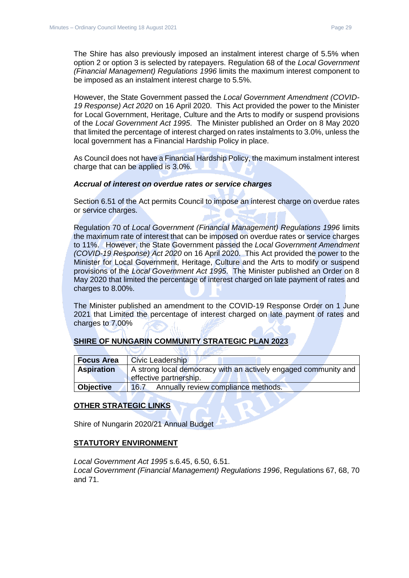The Shire has also previously imposed an instalment interest charge of 5.5% when option 2 or option 3 is selected by ratepayers. Regulation 68 of the *Local Government (Financial Management) Regulations 1996* limits the maximum interest component to be imposed as an instalment interest charge to 5.5%.

However, the State Government passed the *Local Government Amendment (COVID-19 Response) Act 2020* on 16 April 2020. This Act provided the power to the Minister for Local Government, Heritage, Culture and the Arts to modify or suspend provisions of the *Local Government Act 1995*. The Minister published an Order on 8 May 2020 that limited the percentage of interest charged on rates instalments to 3.0%, unless the local government has a Financial Hardship Policy in place.

As Council does not have a Financial Hardship Policy, the maximum instalment interest charge that can be applied is 3.0%.

#### *Accrual of interest on overdue rates or service charges*

Section 6.51 of the Act permits Council to impose an interest charge on overdue rates or service charges.

Regulation 70 of *Local Government (Financial Management) Regulations 1996* limits the maximum rate of interest that can be imposed on overdue rates or service charges to 11%. However, the State Government passed the *Local Government Amendment (COVID-19 Response) Act 2020* on 16 April 2020. This Act provided the power to the Minister for Local Government, Heritage, Culture and the Arts to modify or suspend provisions of the *Local Government Act 1995*. The Minister published an Order on 8 May 2020 that limited the percentage of interest charged on late payment of rates and charges to 8.00%.

The Minister published an amendment to the COVID-19 Response Order on 1 June 2021 that Limited the percentage of interest charged on late payment of rates and charges to 7.00%

## **SHIRE OF NUNGARIN COMMUNITY STRATEGIC PLAN 2023**

| <b>Focus Area</b> | <b>Civic Leadership</b>                                                                   |
|-------------------|-------------------------------------------------------------------------------------------|
| <b>Aspiration</b> | A strong local democracy with an actively engaged community and<br>effective partnership. |
| <b>Objective</b>  | Annually review compliance methods.<br>16.7                                               |

#### **OTHER STRATEGIC LINKS**

Shire of Nungarin 2020/21 Annual Budget

#### **STATUTORY ENVIRONMENT**

*Local Government Act 1995* s.6.45, 6.50, 6.51. *Local Government (Financial Management) Regulations 1996*, Regulations 67, 68, 70 and 71.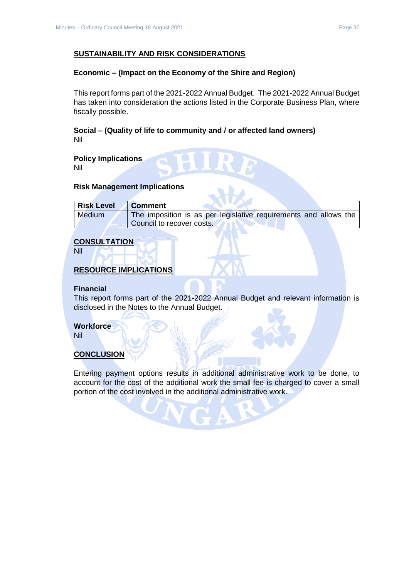#### **SUSTAINABILITY AND RISK CONSIDERATIONS**

#### **Economic – (Impact on the Economy of the Shire and Region)**

This report forms part of the 2021-2022 Annual Budget. The 2021-2022 Annual Budget has taken into consideration the actions listed in the Corporate Business Plan, where fiscally possible.

**Social – (Quality of life to community and / or affected land owners)** Nil

**Policy Implications** Nil

#### **Risk Management Implications**

| <b>Risk Level</b> | <b>Comment</b>                                                   |
|-------------------|------------------------------------------------------------------|
| <b>Medium</b>     | The imposition is as per legislative requirements and allows the |
|                   | Council to recover costs.                                        |

## **CONSULTATION**

Nil

## **RESOURCE IMPLICATIONS**

#### **Financial**

This report forms part of the 2021-2022 Annual Budget and relevant information is disclosed in the Notes to the Annual Budget.

#### **Workforce**

Nil

#### **CONCLUSION**

Entering payment options results in additional administrative work to be done, to account for the cost of the additional work the small fee is charged to cover a small portion of the cost involved in the additional administrative work.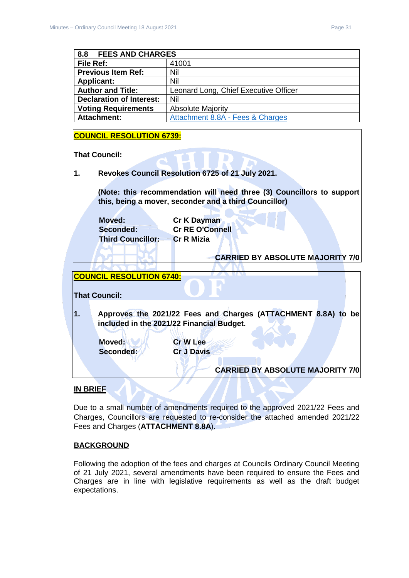<span id="page-30-0"></span>

| 8.8<br><b>FEES AND CHARGES</b>  |                                       |
|---------------------------------|---------------------------------------|
| File Ref:                       | 41001                                 |
| <b>Previous Item Ref:</b>       | Nil                                   |
| <b>Applicant:</b>               | Nil                                   |
| <b>Author and Title:</b>        | Leonard Long, Chief Executive Officer |
| <b>Declaration of Interest:</b> | Nil                                   |
| <b>Voting Requirements</b>      | <b>Absolute Majority</b>              |
| <b>Attachment:</b>              | Attachment 8.8A - Fees & Charges      |

## **COUNCIL RESOLUTION 6739:**

**That Council:**

**1. Revokes Council Resolution 6725 of 21 July 2021.**

**(Note: this recommendation will need three (3) Councillors to support this, being a mover, seconder and a third Councillor)**

**Moved: Cr K Dayman Seconded: Cr RE O'Connell Third Councillor: Cr R Mizia**

## **CARRIED BY ABSOLUTE MAJORITY 7/0**

## **COUNCIL RESOLUTION 6740:**

**That Council: 1. Approves the 2021/22 Fees and Charges (ATTACHMENT 8.8A) to be included in the 2021/22 Financial Budget. Moved: VIA Cr W Lee Seconded: Cr J Davis**

# **CARRIED BY ABSOLUTE MAJORITY 7/0**

## **IN BRIEF**

Due to a small number of amendments required to the approved 2021/22 Fees and Charges, Councillors are requested to re-consider the attached amended 2021/22 Fees and Charges (**ATTACHMENT 8.8A**).

## **BACKGROUND**

Following the adoption of the fees and charges at Councils Ordinary Council Meeting of 21 July 2021, several amendments have been required to ensure the Fees and Charges are in line with legislative requirements as well as the draft budget expectations.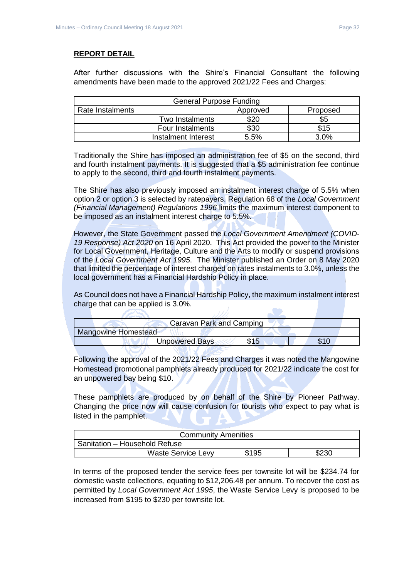## **REPORT DETAIL**

After further discussions with the Shire's Financial Consultant the following amendments have been made to the approved 2021/22 Fees and Charges:

| <b>General Purpose Funding</b> |          |          |
|--------------------------------|----------|----------|
| Rate Instalments               | Approved | Proposed |
| Two Instalments                | \$20     | \$5      |
| Four Instalments               | \$30     | \$15     |
| Instalment Interest            | 5.5%     | 3.0%     |

Traditionally the Shire has imposed an administration fee of \$5 on the second, third and fourth instalment payments. It is suggested that a \$5 administration fee continue to apply to the second, third and fourth instalment payments.

The Shire has also previously imposed an instalment interest charge of 5.5% when option 2 or option 3 is selected by ratepayers. Regulation 68 of the *Local Government (Financial Management) Regulations 1996* limits the maximum interest component to be imposed as an instalment interest charge to 5.5%.

However, the State Government passed the *Local Government Amendment (COVID-19 Response) Act 2020* on 16 April 2020. This Act provided the power to the Minister for Local Government, Heritage, Culture and the Arts to modify or suspend provisions of the *Local Government Act 1995*. The Minister published an Order on 8 May 2020 that limited the percentage of interest charged on rates instalments to 3.0%, unless the local government has a Financial Hardship Policy in place.

As Council does not have a Financial Hardship Policy, the maximum instalment interest charge that can be applied is 3.0%.  $\overline{\phantom{a}}$ 

|                            | Caravan Park and Camping |  |
|----------------------------|--------------------------|--|
| <b>Mangowine Homestead</b> |                          |  |
|                            | Unpowered Bays           |  |
|                            |                          |  |

Following the approval of the 2021/22 Fees and Charges it was noted the Mangowine Homestead promotional pamphlets already produced for 2021/22 indicate the cost for an unpowered bay being \$10.

These pamphlets are produced by on behalf of the Shire by Pioneer Pathway. Changing the price now will cause confusion for tourists who expect to pay what is listed in the pamphlet.

| <b>Community Amenities</b>    |       |       |
|-------------------------------|-------|-------|
| Sanitation - Household Refuse |       |       |
| <b>Waste Service Levy</b>     | \$195 | \$230 |

In terms of the proposed tender the service fees per townsite lot will be \$234.74 for domestic waste collections, equating to \$12,206.48 per annum. To recover the cost as permitted by *Local Government Act 1995*, the Waste Service Levy is proposed to be increased from \$195 to \$230 per townsite lot.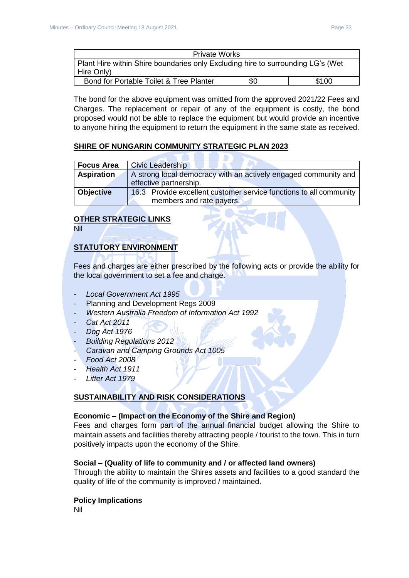| <b>Private Works</b>                                                            |     |       |
|---------------------------------------------------------------------------------|-----|-------|
| Plant Hire within Shire boundaries only Excluding hire to surrounding LG's (Wet |     |       |
| Hire Only)                                                                      |     |       |
| Bond for Portable Toilet & Tree Planter                                         | \$0 | \$100 |

The bond for the above equipment was omitted from the approved 2021/22 Fees and Charges. The replacement or repair of any of the equipment is costly, the bond proposed would not be able to replace the equipment but would provide an incentive to anyone hiring the equipment to return the equipment in the same state as received.

## **SHIRE OF NUNGARIN COMMUNITY STRATEGIC PLAN 2023**

| <b>Focus Area</b> | <b>Civic Leadership</b>                                            |
|-------------------|--------------------------------------------------------------------|
| <b>Aspiration</b> | A strong local democracy with an actively engaged community and    |
|                   | effective partnership.                                             |
| <b>Objective</b>  | 16.3 Provide excellent customer service functions to all community |
|                   | members and rate payers.                                           |

## **OTHER STRATEGIC LINKS**

Nil

## **STATUTORY ENVIRONMENT**

Fees and charges are either prescribed by the following acts or provide the ability for the local government to set a fee and charge.

- *Local Government Act 1995*
- Planning and Development Regs 2009
- *Western Australia Freedom of Information Act 1992*
- *Cat Act 2011*
- *Dog Act 1976*
- *Building Regulations 2012*
- *Caravan and Camping Grounds Act 1005*
- *Food Act 2008*
- *Health Act 1911*
- *Litter Act 1979*

## **SUSTAINABILITY AND RISK CONSIDERATIONS**

#### **Economic – (Impact on the Economy of the Shire and Region)**

Fees and charges form part of the annual financial budget allowing the Shire to maintain assets and facilities thereby attracting people / tourist to the town. This in turn positively impacts upon the economy of the Shire.

#### **Social – (Quality of life to community and / or affected land owners)**

Through the ability to maintain the Shires assets and facilities to a good standard the quality of life of the community is improved / maintained.

#### **Policy Implications**

Nil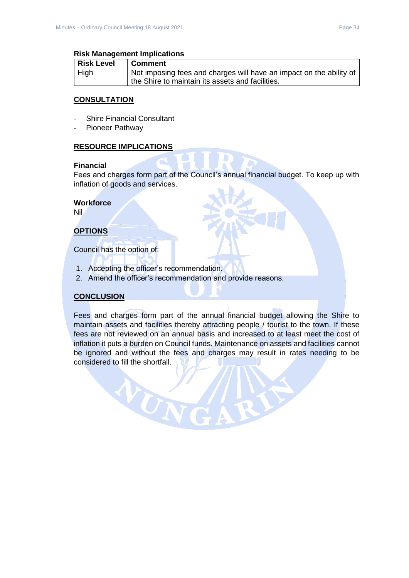#### **Risk Management Implications**

| <b>Risk Level</b> | <b>Comment</b>                                                      |
|-------------------|---------------------------------------------------------------------|
| High              | Not imposing fees and charges will have an impact on the ability of |
|                   | the Shire to maintain its assets and facilities.                    |

#### **CONSULTATION**

- Shire Financial Consultant
- Pioneer Pathway

#### **RESOURCE IMPLICATIONS**

#### **Financial**

Fees and charges form part of the Council's annual financial budget. To keep up with inflation of goods and services.

#### **Workforce**

Nil

## **OPTIONS**

Council has the option of:

1. Accepting the officer's recommendation.

VON

2. Amend the officer's recommendation and provide reasons.

#### **CONCLUSION**

Fees and charges form part of the annual financial budget allowing the Shire to maintain assets and facilities thereby attracting people / tourist to the town. If these fees are not reviewed on an annual basis and increased to at least meet the cost of inflation it puts a burden on Council funds. Maintenance on assets and facilities cannot be ignored and without the fees and charges may result in rates needing to be considered to fill the shortfall.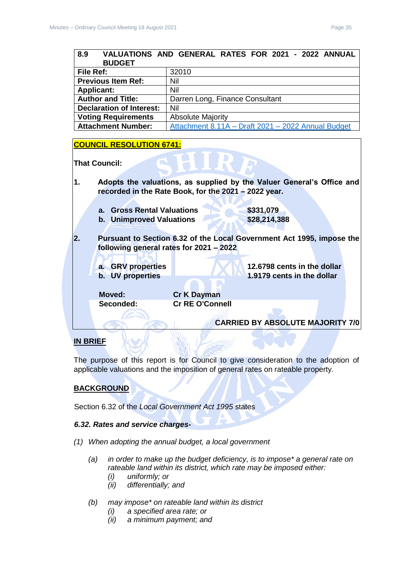<span id="page-34-0"></span>

| 8.9                             | VALUATIONS AND GENERAL RATES FOR 2021 - 2022 ANNUAL                   |
|---------------------------------|-----------------------------------------------------------------------|
| <b>BUDGET</b>                   |                                                                       |
| File Ref:                       | 32010                                                                 |
| <b>Previous Item Ref:</b>       | Nil                                                                   |
| <b>Applicant:</b>               | Nil                                                                   |
| <b>Author and Title:</b>        | Darren Long, Finance Consultant                                       |
| <b>Declaration of Interest:</b> | Nil                                                                   |
| <b>Voting Requirements</b>      | <b>Absolute Majority</b>                                              |
| <b>Attachment Number:</b>       | Attachment 8.11A - Draft 2021 - 2022 Annual Budget                    |
|                                 |                                                                       |
| <b>COUNCIL RESOLUTION 6741:</b> |                                                                       |
|                                 |                                                                       |
| <b>That Council:</b>            |                                                                       |
|                                 |                                                                       |
|                                 |                                                                       |
|                                 |                                                                       |
| 1.                              | Adopts the valuations, as supplied by the Valuer General's Office and |
|                                 | recorded in the Rate Book, for the 2021 - 2022 year.                  |
|                                 |                                                                       |
| a. Gross Rental Valuations      | \$331,079                                                             |
| b. Unimproved Valuations        | \$28,214,388                                                          |
|                                 |                                                                       |
| 2.                              | Pursuant to Section 6.32 of the Local Government Act 1995, impose the |
|                                 | following general rates for 2021 - 2022                               |
|                                 |                                                                       |
| a. GRV properties               | 12.6798 cents in the dollar                                           |
| b. UV properties                | 1.9179 cents in the dollar                                            |
|                                 |                                                                       |
| Moved:<br>Seconded:             | <b>Cr K Dayman</b><br><b>Cr RE O'Connell</b>                          |

## **IN BRIEF**

The purpose of this report is for Council to give consideration to the adoption of applicable valuations and the imposition of general rates on rateable property*.*

**CARRIED BY ABSOLUTE MAJORITY 7/0**

## **BACKGROUND**

Section 6.32 of the *Local Government Act 1995* states

#### *6.32. Rates and service charges-*

- *(1) When adopting the annual budget, a local government* 
	- *(a) in order to make up the budget deficiency, is to impose\* a general rate on rateable land within its district, which rate may be imposed either:* 
		- *(i) uniformly; or*
		- *(ii) differentially; and*
	- *(b) may impose\* on rateable land within its district* 
		- *(i) a specified area rate; or*
		- *(ii) a minimum payment; and*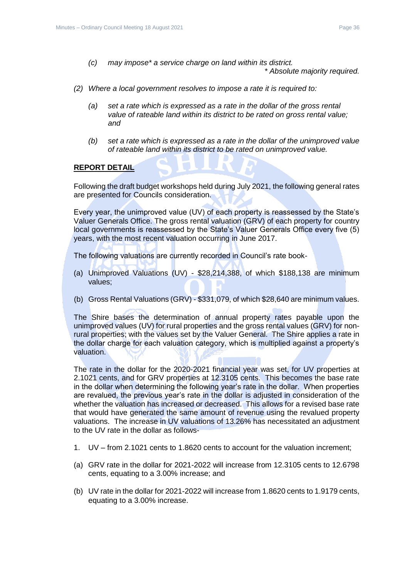*(c) may impose\* a service charge on land within its district.* 

*\* Absolute majority required.* 

- *(2) Where a local government resolves to impose a rate it is required to:* 
	- *(a) set a rate which is expressed as a rate in the dollar of the gross rental value of rateable land within its district to be rated on gross rental value; and*
	- *(b) set a rate which is expressed as a rate in the dollar of the unimproved value of rateable land within its district to be rated on unimproved value.*

#### **REPORT DETAIL**

Following the draft budget workshops held during July 2021, the following general rates are presented for Councils consideration.

Every year, the unimproved value (UV) of each property is reassessed by the State's Valuer Generals Office. The gross rental valuation (GRV) of each property for country local governments is reassessed by the State's Valuer Generals Office every five (5) years, with the most recent valuation occurring in June 2017.

The following valuations are currently recorded in Council's rate book-

- (a) Unimproved Valuations (UV) \$28,214,388, of which \$188,138 are minimum values;
- (b) Gross Rental Valuations (GRV) \$331,079, of which \$28,640 are minimum values.

The Shire bases the determination of annual property rates payable upon the unimproved values (UV) for rural properties and the gross rental values (GRV) for nonrural properties; with the values set by the Valuer General. The Shire applies a rate in the dollar charge for each valuation category, which is multiplied against a property's valuation.

The rate in the dollar for the 2020-2021 financial year was set, for UV properties at 2.1021 cents, and for GRV properties at 12.3105 cents. This becomes the base rate in the dollar when determining the following year's rate in the dollar. When properties are revalued, the previous year's rate in the dollar is adjusted in consideration of the whether the valuation has increased or decreased. This allows for a revised base rate that would have generated the same amount of revenue using the revalued property valuations. The increase in UV valuations of 13.26% has necessitated an adjustment to the UV rate in the dollar as follows-

- 1. UV from 2.1021 cents to 1.8620 cents to account for the valuation increment;
- (a) GRV rate in the dollar for 2021-2022 will increase from 12.3105 cents to 12.6798 cents, equating to a 3.00% increase; and
- (b) UV rate in the dollar for 2021-2022 will increase from 1.8620 cents to 1.9179 cents, equating to a 3.00% increase.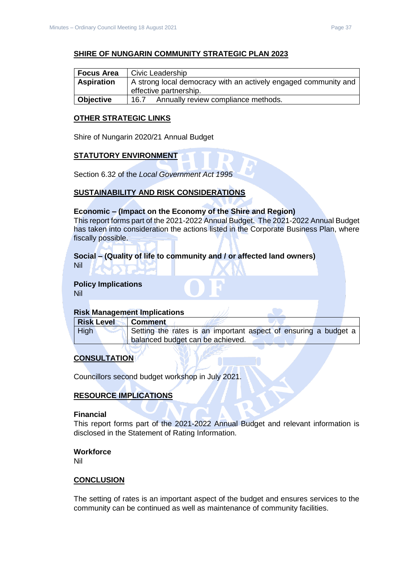#### **SHIRE OF NUNGARIN COMMUNITY STRATEGIC PLAN 2023**

| <b>Focus Area</b> | Civic Leadership                                                |  |
|-------------------|-----------------------------------------------------------------|--|
| <b>Aspiration</b> | A strong local democracy with an actively engaged community and |  |
|                   | effective partnership.                                          |  |
| <b>Objective</b>  | Annually review compliance methods.<br>16.7                     |  |

#### **OTHER STRATEGIC LINKS**

Shire of Nungarin 2020/21 Annual Budget

#### **STATUTORY ENVIRONMENT**

Section 6.32 of the *Local Government Act 1995*

#### **SUSTAINABILITY AND RISK CONSIDERATIONS**

#### **Economic – (Impact on the Economy of the Shire and Region)**

This report forms part of the 2021-2022 Annual Budget. The 2021-2022 Annual Budget has taken into consideration the actions listed in the Corporate Business Plan, where fiscally possible.

# **Social – (Quality of life to community and / or affected land owners)**

Nil

#### **Policy Implications** Nil

#### **Risk Management Implications**

| <b>Risk Level</b> | ∣ Comment                                                       |
|-------------------|-----------------------------------------------------------------|
| High              | Setting the rates is an important aspect of ensuring a budget a |
|                   | I balanced budget can be achieved.                              |

## **CONSULTATION**

Councillors second budget workshop in July 2021.

#### **RESOURCE IMPLICATIONS**

#### **Financial**

This report forms part of the 2021-2022 Annual Budget and relevant information is disclosed in the Statement of Rating Information.

#### **Workforce**

Nil

#### **CONCLUSION**

The setting of rates is an important aspect of the budget and ensures services to the community can be continued as well as maintenance of community facilities.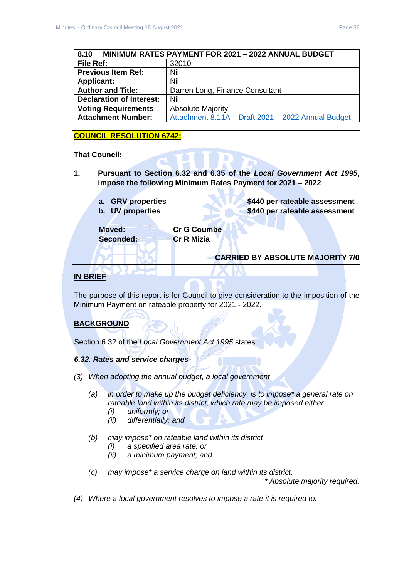<span id="page-37-0"></span>

| 8.10<br><b>MINIMUM RATES PAYMENT FOR 2021 - 2022 ANNUAL BUDGET</b> |                                                    |  |
|--------------------------------------------------------------------|----------------------------------------------------|--|
| File Ref:                                                          | 32010                                              |  |
| <b>Previous Item Ref:</b>                                          | Nil                                                |  |
| <b>Applicant:</b>                                                  | Nil                                                |  |
| <b>Author and Title:</b>                                           | Darren Long, Finance Consultant                    |  |
| <b>Declaration of Interest:</b>                                    | Nil                                                |  |
| <b>Voting Requirements</b>                                         | <b>Absolute Majority</b>                           |  |
| <b>Attachment Number:</b>                                          | Attachment 8.11A - Draft 2021 - 2022 Annual Budget |  |

## **COUNCIL RESOLUTION 6742:**

#### **That Council:**

- **1. Pursuant to Section 6.32 and 6.35 of the** *Local Government Act 1995***, impose the following Minimum Rates Payment for 2021 – 2022**
	- **a. GRV properties \$440 per rateable assessment b.** UV properties **\$440 per rateable assessment Moved: Cr G Coumbe**

**Seconded: Cr R Mizia**

**CARRIED BY ABSOLUTE MAJORITY 7/0**

## **IN BRIEF**

The purpose of this report is for Council to give consideration to the imposition of the Minimum Payment on rateable property for 2021 - 2022.

## **BACKGROUND**

Section 6.32 of the *Local Government Act 1995* states

#### *6.32. Rates and service charges-*

- *(3) When adopting the annual budget, a local government* 
	- *(a) in order to make up the budget deficiency, is to impose\* a general rate on rateable land within its district, which rate may be imposed either:* 
		- *(i) uniformly; or*
		- *(ii) differentially; and*
	- *(b) may impose\* on rateable land within its district* 
		- *(i) a specified area rate; or*
		- *(ii) a minimum payment; and*
	- *(c) may impose\* a service charge on land within its district.*

*\* Absolute majority required.* 

*(4) Where a local government resolves to impose a rate it is required to:*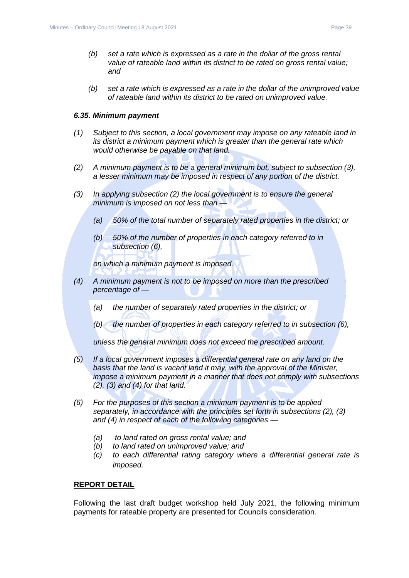*(b) set a rate which is expressed as a rate in the dollar of the unimproved value of rateable land within its district to be rated on unimproved value.*

#### *6.35. Minimum payment*

- *(1) Subject to this section, a local government may impose on any rateable land in its district a minimum payment which is greater than the general rate which would otherwise be payable on that land.*
- *(2) A minimum payment is to be a general minimum but, subject to subsection (3), a lesser minimum may be imposed in respect of any portion of the district.*
- *(3) In applying subsection (2) the local government is to ensure the general minimum is imposed on not less than —*
	- *(a) 50% of the total number of separately rated properties in the district; or*
	- *(b) 50% of the number of properties in each category referred to in subsection (6),*

*on which a minimum payment is imposed.*

- *(4) A minimum payment is not to be imposed on more than the prescribed percentage of —*
	- *(a) the number of separately rated properties in the district; or*
	- *(b) the number of properties in each category referred to in subsection (6),*

*unless the general minimum does not exceed the prescribed amount.*

- *(5) If a local government imposes a differential general rate on any land on the basis that the land is vacant land it may, with the approval of the Minister, impose a minimum payment in a manner that does not comply with subsections (2), (3) and (4) for that land.*
- *(6) For the purposes of this section a minimum payment is to be applied separately, in accordance with the principles set forth in subsections (2), (3) and (4) in respect of each of the following categories —*
	- *(a) to land rated on gross rental value; and*
	- *(b) to land rated on unimproved value; and*
	- *(c) to each differential rating category where a differential general rate is imposed.*

## **REPORT DETAIL**

Following the last draft budget workshop held July 2021, the following minimum payments for rateable property are presented for Councils consideration.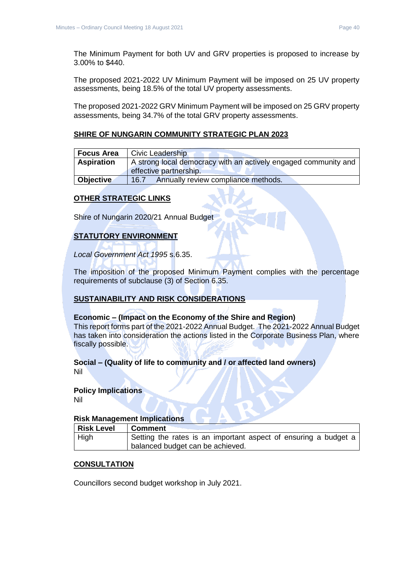The Minimum Payment for both UV and GRV properties is proposed to increase by 3.00% to \$440.

The proposed 2021-2022 UV Minimum Payment will be imposed on 25 UV property assessments, being 18.5% of the total UV property assessments.

The proposed 2021-2022 GRV Minimum Payment will be imposed on 25 GRV property assessments, being 34.7% of the total GRV property assessments.

#### **SHIRE OF NUNGARIN COMMUNITY STRATEGIC PLAN 2023**

| <b>Focus Area</b> | Civic Leadership                                                |  |
|-------------------|-----------------------------------------------------------------|--|
| <b>Aspiration</b> | A strong local democracy with an actively engaged community and |  |
|                   | effective partnership.                                          |  |
| Objective         | Annually review compliance methods.<br>16.7                     |  |

#### **OTHER STRATEGIC LINKS**

Shire of Nungarin 2020/21 Annual Budget

## **STATUTORY ENVIRONMENT**

*Local Government Act 1995* s.6.35.

The imposition of the proposed Minimum Payment complies with the percentage requirements of subclause (3) of Section 6.35.

#### **SUSTAINABILITY AND RISK CONSIDERATIONS**

#### **Economic – (Impact on the Economy of the Shire and Region)**

This report forms part of the 2021-2022 Annual Budget. The 2021-2022 Annual Budget has taken into consideration the actions listed in the Corporate Business Plan, where fiscally possible.

#### **Social – (Quality of life to community and / or affected land owners)**

Nil

#### **Policy Implications**

Nil

#### **Risk Management Implications**

| <b>Risk Level</b> | ∣ Comment                                                       |
|-------------------|-----------------------------------------------------------------|
| $ $ High          | Setting the rates is an important aspect of ensuring a budget a |
|                   | balanced budget can be achieved.                                |

#### **CONSULTATION**

Councillors second budget workshop in July 2021.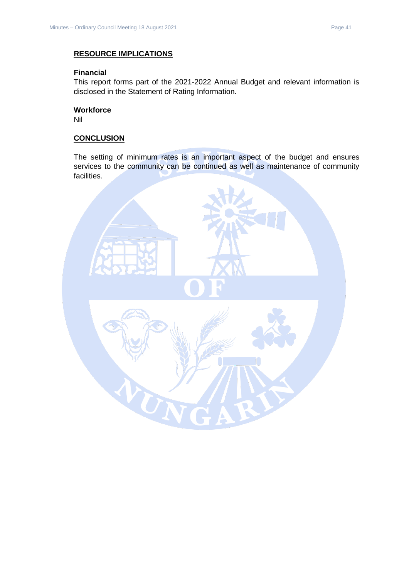#### **RESOURCE IMPLICATIONS**

## **Financial**

This report forms part of the 2021-2022 Annual Budget and relevant information is disclosed in the Statement of Rating Information.

## **Workforce**

Nil

## **CONCLUSION**

The setting of minimum rates is an important aspect of the budget and ensures services to the community can be continued as well as maintenance of community facilities.

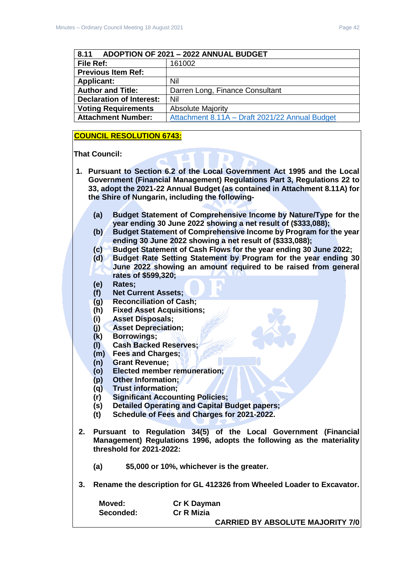<span id="page-41-0"></span>

| ADOPTION OF 2021 - 2022 ANNUAL BUDGET<br>8.11 |                                                |  |
|-----------------------------------------------|------------------------------------------------|--|
| File Ref:                                     | 161002                                         |  |
| <b>Previous Item Ref:</b>                     |                                                |  |
| <b>Applicant:</b>                             | Nil                                            |  |
| <b>Author and Title:</b>                      | Darren Long, Finance Consultant                |  |
| <b>Declaration of Interest:</b>               | Nil                                            |  |
| <b>Voting Requirements</b>                    | <b>Absolute Majority</b>                       |  |
| <b>Attachment Number:</b>                     | Attachment 8.11A - Draft 2021/22 Annual Budget |  |

#### **COUNCIL RESOLUTION 6743:**

#### **That Council:**

- **1. Pursuant to Section 6.2 of the Local Government Act 1995 and the Local Government (Financial Management) Regulations Part 3, Regulations 22 to 33, adopt the 2021-22 Annual Budget (as contained in Attachment 8.11A) for the Shire of Nungarin, including the following-**
	- **(a) Budget Statement of Comprehensive Income by Nature/Type for the year ending 30 June 2022 showing a net result of (\$333,088);**
	- **(b) Budget Statement of Comprehensive Income by Program for the year ending 30 June 2022 showing a net result of (\$333,088);**
	- **(c) Budget Statement of Cash Flows for the year ending 30 June 2022;**
	- **(d) Budget Rate Setting Statement by Program for the year ending 30 June 2022 showing an amount required to be raised from general rates of \$599,320;**
	- **(e) Rates;**
	- **(f) Net Current Assets;**
	- **(g) Reconciliation of Cash;**
	- **(h) Fixed Asset Acquisitions;**
	- **(i) Asset Disposals;**
	- **(j) Asset Depreciation;**
	- **(k) Borrowings;**
	- **(l) Cash Backed Reserves;**
	- **(m) Fees and Charges;**
	- **(n) Grant Revenue;**
	- **(o) Elected member remuneration;**
	- **(p) Other Information;**
	- **(q) Trust information;**
	- **(r) Significant Accounting Policies;**
	- **(s) Detailed Operating and Capital Budget papers;**
	- **(t) Schedule of Fees and Charges for 2021-2022.**
- **2. Pursuant to Regulation 34(5) of the Local Government (Financial Management) Regulations 1996, adopts the following as the materiality threshold for 2021-2022:**
	- **(a) \$5,000 or 10%, whichever is the greater.**
- **3. Rename the description for GL 412326 from Wheeled Loader to Excavator.**

| Moved:    | Cr K Dayman                             |
|-----------|-----------------------------------------|
| Seconded: | <b>Cr R Mizia</b>                       |
|           | <b>CARRIED BY ABSOLUTE MAJORITY 7/0</b> |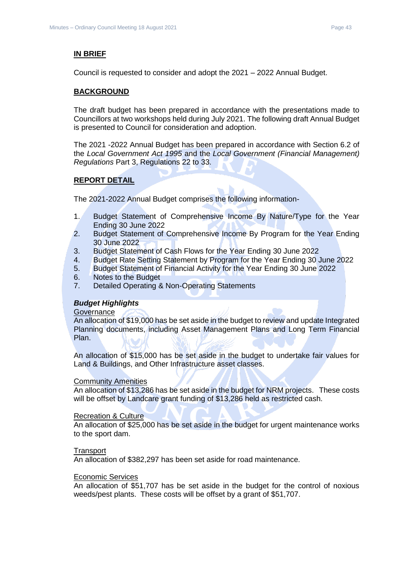#### **IN BRIEF**

Council is requested to consider and adopt the 2021 – 2022 Annual Budget.

#### **BACKGROUND**

The draft budget has been prepared in accordance with the presentations made to Councillors at two workshops held during July 2021. The following draft Annual Budget is presented to Council for consideration and adoption.

The 2021 -2022 Annual Budget has been prepared in accordance with Section 6.2 of the *Local Government Act 1995* and the *Local Government (Financial Management) Regulations* Part 3, Regulations 22 to 33.

#### **REPORT DETAIL**

The 2021-2022 Annual Budget comprises the following information-

- 1. Budget Statement of Comprehensive Income By Nature/Type for the Year Ending 30 June 2022
- 2. Budget Statement of Comprehensive Income By Program for the Year Ending 30 June 2022
- 3. Budget Statement of Cash Flows for the Year Ending 30 June 2022
- 4. Budget Rate Setting Statement by Program for the Year Ending 30 June 2022
- 5. Budget Statement of Financial Activity for the Year Ending 30 June 2022
- 6. Notes to the Budget
- 7. Detailed Operating & Non-Operating Statements

#### *Budget Highlights*

#### **Governance**

An allocation of \$19,000 has be set aside in the budget to review and update Integrated Planning documents, including Asset Management Plans and Long Term Financial Plan.

An allocation of \$15,000 has be set aside in the budget to undertake fair values for Land & Buildings, and Other Infrastructure asset classes.

#### Community Amenities

An allocation of \$13,286 has be set aside in the budget for NRM projects. These costs will be offset by Landcare grant funding of \$13,286 held as restricted cash.

#### Recreation & Culture

An allocation of \$25,000 has be set aside in the budget for urgent maintenance works to the sport dam.

#### **Transport**

An allocation of \$382,297 has been set aside for road maintenance.

#### Economic Services

An allocation of \$51,707 has be set aside in the budget for the control of noxious weeds/pest plants. These costs will be offset by a grant of \$51,707.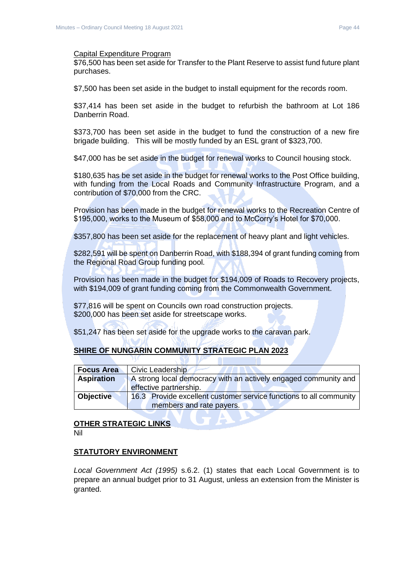\$76,500 has been set aside for Transfer to the Plant Reserve to assist fund future plant purchases.

\$7,500 has been set aside in the budget to install equipment for the records room.

\$37,414 has been set aside in the budget to refurbish the bathroom at Lot 186 Danberrin Road.

\$373,700 has been set aside in the budget to fund the construction of a new fire brigade building. This will be mostly funded by an ESL grant of \$323,700.

\$47,000 has be set aside in the budget for renewal works to Council housing stock.

\$180,635 has be set aside in the budget for renewal works to the Post Office building, with funding from the Local Roads and Community Infrastructure Program, and a contribution of \$70,000 from the CRC.

Provision has been made in the budget for renewal works to the Recreation Centre of \$195,000, works to the Museum of \$58,000 and to McCorry's Hotel for \$70,000.

\$357,800 has been set aside for the replacement of heavy plant and light vehicles.

\$282,591 will be spent on Danberrin Road, with \$188,394 of grant funding coming from the Regional Road Group funding pool.

Provision has been made in the budget for \$194,009 of Roads to Recovery projects, with \$194,009 of grant funding coming from the Commonwealth Government.

\$77,816 will be spent on Councils own road construction projects. \$200,000 has been set aside for streetscape works.

\$51,247 has been set aside for the upgrade works to the caravan park.

#### **SHIRE OF NUNGARIN COMMUNITY STRATEGIC PLAN 2023**

| <b>Focus Area</b>     |                          | Civic Leadership                                                   |  |  |
|-----------------------|--------------------------|--------------------------------------------------------------------|--|--|
| <b>Aspiration</b>     |                          | A strong local democracy with an actively engaged community and    |  |  |
|                       | effective partnership.   |                                                                    |  |  |
| <b>Objective</b>      |                          | 16.3 Provide excellent customer service functions to all community |  |  |
|                       | members and rate payers. |                                                                    |  |  |
|                       |                          |                                                                    |  |  |
| OTHER STRATEGIC LINKS |                          |                                                                    |  |  |

#### **OTHER STRATEGIC LINKS** Nil

#### **STATUTORY ENVIRONMENT**

*Local Government Act (1995)* s.6.2. (1) states that each Local Government is to prepare an annual budget prior to 31 August, unless an extension from the Minister is granted.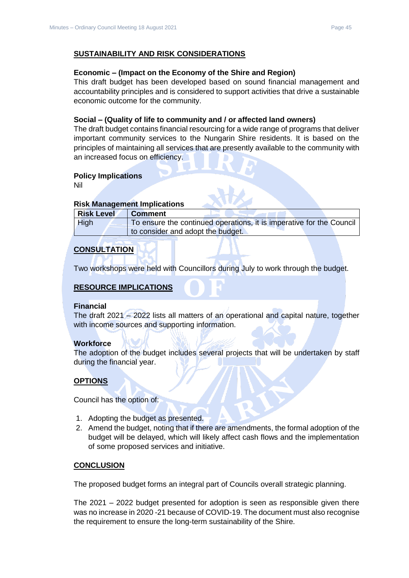#### **SUSTAINABILITY AND RISK CONSIDERATIONS**

#### **Economic – (Impact on the Economy of the Shire and Region)**

This draft budget has been developed based on sound financial management and accountability principles and is considered to support activities that drive a sustainable economic outcome for the community.

#### **Social – (Quality of life to community and / or affected land owners)**

The draft budget contains financial resourcing for a wide range of programs that deliver important community services to the Nungarin Shire residents. It is based on the principles of maintaining all services that are presently available to the community with an increased focus on efficiency.

#### **Policy Implications**

Nil

#### **Risk Management Implications**

| <b>Risk Level</b> | <b>Comment</b>                                                       |
|-------------------|----------------------------------------------------------------------|
| <b>High</b>       | To ensure the continued operations, it is imperative for the Council |
|                   | to consider and adopt the budget.                                    |

## **CONSULTATION**

Two workshops were held with Councillors during July to work through the budget.

## **RESOURCE IMPLICATIONS**

#### **Financial**

The draft 2021 – 2022 lists all matters of an operational and capital nature, together with income sources and supporting information.

#### **Workforce**

The adoption of the budget includes several projects that will be undertaken by staff during the financial year.

#### **OPTIONS**

Council has the option of:

- 1. Adopting the budget as presented.
- 2. Amend the budget, noting that if there are amendments, the formal adoption of the budget will be delayed, which will likely affect cash flows and the implementation of some proposed services and initiative.

#### **CONCLUSION**

The proposed budget forms an integral part of Councils overall strategic planning.

The 2021 – 2022 budget presented for adoption is seen as responsible given there was no increase in 2020 -21 because of COVID-19. The document must also recognise the requirement to ensure the long-term sustainability of the Shire.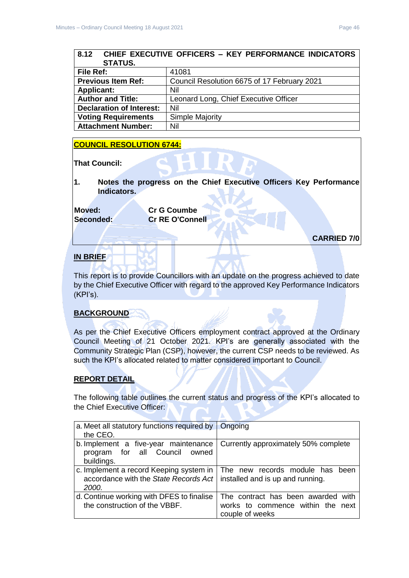<span id="page-45-0"></span>

| 8.12 CHIEF EXECUTIVE OFFICERS - KEY PERFORMANCE INDICATORS |                                             |
|------------------------------------------------------------|---------------------------------------------|
| <b>STATUS.</b>                                             |                                             |
| File Ref:                                                  | 41081                                       |
| <b>Previous Item Ref:</b>                                  | Council Resolution 6675 of 17 February 2021 |
| <b>Applicant:</b>                                          | Nil                                         |
| <b>Author and Title:</b>                                   | Leonard Long, Chief Executive Officer       |
| <b>Declaration of Interest:</b>                            | Nil                                         |
| <b>Voting Requirements</b>                                 | Simple Majority                             |
| <b>Attachment Number:</b>                                  | Nil                                         |

#### **COUNCIL RESOLUTION 6744:**

**That Council:**

**1. Notes the progress on the Chief Executive Officers Key Performance Indicators.**

**Moved: Cr G Coumbe**

**Seconded: Cr RE O'Connell**

**CARRIED 7/0**

## **IN BRIEF**

This report is to provide Councillors with an update on the progress achieved to date by the Chief Executive Officer with regard to the approved Key Performance Indicators (KPI's).

## **BACKGROUND**

As per the Chief Executive Officers employment contract approved at the Ordinary Council Meeting of 21 October 2021. KPI's are generally associated with the Community Strategic Plan (CSP), however, the current CSP needs to be reviewed. As such the KPI's allocated related to matter considered important to Council.

#### **REPORT DETAIL**

The following table outlines the current status and progress of the KPI's allocated to the Chief Executive Officer:

| a. Meet all statutory functions required by $\ $<br>the CEO.                              | Ongoing                                                                                    |
|-------------------------------------------------------------------------------------------|--------------------------------------------------------------------------------------------|
| b. Implement a five-year maintenance<br>program for all Council owned<br>buildings.       | Currently approximately 50% complete                                                       |
| c. Implement a record Keeping system in<br>accordance with the State Records Act<br>2000. | The new records module has been<br>installed and is up and running.                        |
| d. Continue working with DFES to finalise<br>the construction of the VBBF.                | The contract has been awarded with<br>works to commence within the next<br>couple of weeks |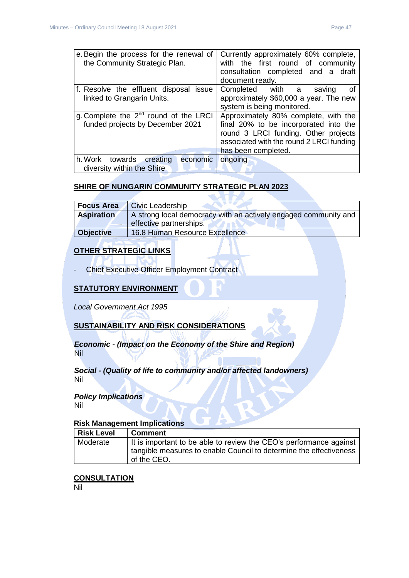|  | e. Begin the process for the renewal of<br>the Community Strategic Plan. | Currently approximately 60% complete,<br>with the first round of community<br>consultation completed and a draft<br>document ready. |
|--|--------------------------------------------------------------------------|-------------------------------------------------------------------------------------------------------------------------------------|
|  | f. Resolve the effluent disposal issue                                   | Completed with a<br>saving<br>. of                                                                                                  |
|  | linked to Grangarin Units.                                               | approximately \$60,000 a year. The new                                                                                              |
|  |                                                                          | system is being monitored.                                                                                                          |
|  | g. Complete the 2 <sup>nd</sup> round of the LRCI                        | Approximately 80% complete, with the                                                                                                |
|  | funded projects by December 2021                                         | final 20% to be incorporated into the                                                                                               |
|  |                                                                          | round 3 LRCI funding. Other projects                                                                                                |
|  |                                                                          | associated with the round 2 LRCI funding                                                                                            |
|  |                                                                          |                                                                                                                                     |
|  |                                                                          | has been completed.                                                                                                                 |
|  | h. Work towards<br>creating<br>economic                                  | ongoing                                                                                                                             |

#### **SHIRE OF NUNGARIN COMMUNITY STRATEGIC PLAN 2023**

|                   | <b>Civic Leadership</b>                                         |
|-------------------|-----------------------------------------------------------------|
| <b>Aspiration</b> | A strong local democracy with an actively engaged community and |
|                   | effective partnerships.                                         |
| <b>Objective</b>  | 16.8 Human Resource Excellence                                  |

## **OTHER STRATEGIC LINKS**

- Chief Executive Officer Employment Contract

## **STATUTORY ENVIRONMENT**

*Local Government Act 1995*

#### **SUSTAINABILITY AND RISK CONSIDERATIONS**

*Economic - (Impact on the Economy of the Shire and Region)* Nil

#### *Social - (Quality of life to community and/or affected landowners)* Nil

## *Policy Implications*

Nil

#### **Risk Management Implications**

| <b>Risk Level</b> | Comment                                                                           |
|-------------------|-----------------------------------------------------------------------------------|
| Moderate          | It is important to be able to review the CEO's performance against                |
|                   | tangible measures to enable Council to determine the effectiveness<br>of the CEO. |

## **CONSULTATION**

Nil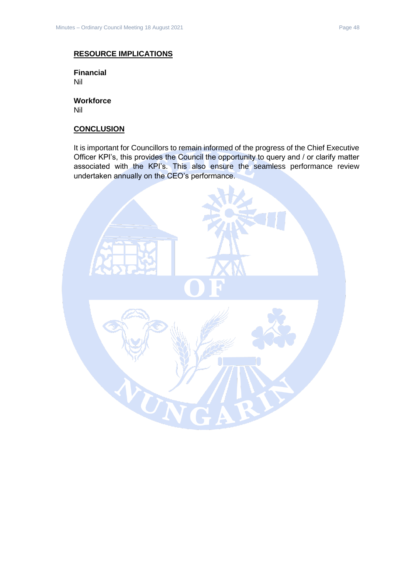#### **RESOURCE IMPLICATIONS**

**Financial** Nil

**Workforce** Nil

#### **CONCLUSION**

It is important for Councillors to remain informed of the progress of the Chief Executive Officer KPI's, this provides the Council the opportunity to query and / or clarify matter associated with the KPI's. This also ensure the seamless performance review undertaken annually on the CEO's performance.

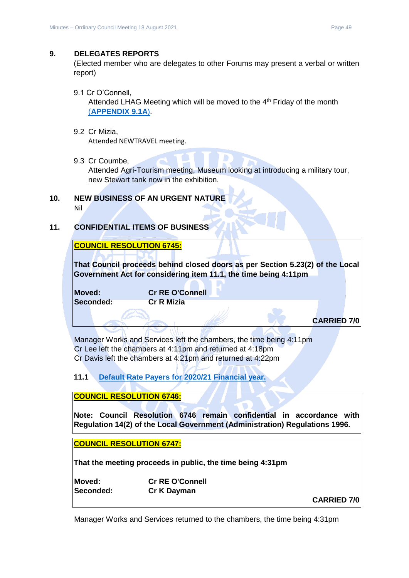#### <span id="page-48-0"></span>**9. DELEGATES REPORTS**

(Elected member who are delegates to other Forums may present a verbal or written report)

<span id="page-48-1"></span>9.1 Cr O'Connell,

Attended LHAG Meeting which will be moved to the  $4<sup>th</sup>$  Friday of the month (**[APPENDIX 9.1A](../../../AGENDAS/2021%20-%20Council%20Meetings/18%20August%202021/ATTACHMENTS/Attachment%209.1A%20-%20Cr%20O)**).

- <span id="page-48-2"></span>9.2 Cr Mizia, Attended NEWTRAVEL meeting.
- <span id="page-48-3"></span>9.3 Cr Coumbe,

Attended Agri-Tourism meeting, Museum looking at introducing a military tour, new Stewart tank now in the exhibition.

- <span id="page-48-4"></span>**10. NEW BUSINESS OF AN URGENT NATURE** Nil
- <span id="page-48-5"></span>**11. CONFIDENTIAL ITEMS OF BUSINESS**

## **COUNCIL RESOLUTION 6745:**

**That Council proceeds behind closed doors as per Section 5.23(2) of the Local Government Act for considering item 11.1, the time being 4:11pm** 

**Moved: Cr RE O'Connell Seconded: Cr R Mizia**

**CARRIED 7/0**

Manager Works and Services left the chambers, the time being 4:11pm Cr Lee left the chambers at 4:11pm and returned at 4:18pm Cr Davis left the chambers at 4:21pm and returned at 4:22pm

<span id="page-48-6"></span>**11.1 [Default Rate Payers for 2020/21 Financial year.](../../../AGENDAS/2021%20-%20Council%20Meetings/18%20August%202021/Confidential%20Item%2011.1.docx)**

**COUNCIL RESOLUTION 6746:**

**Note: Council Resolution 6746 remain confidential in accordance with Regulation 14(2) of the Local Government (Administration) Regulations 1996.**

**COUNCIL RESOLUTION 6747:**

**That the meeting proceeds in public, the time being 4:31pm** 

| Moved:    | <b>Cr RE O'Connell</b> |
|-----------|------------------------|
| Seconded: | Cr K Dayman            |

**CARRIED 7/0**

Manager Works and Services returned to the chambers, the time being 4:31pm